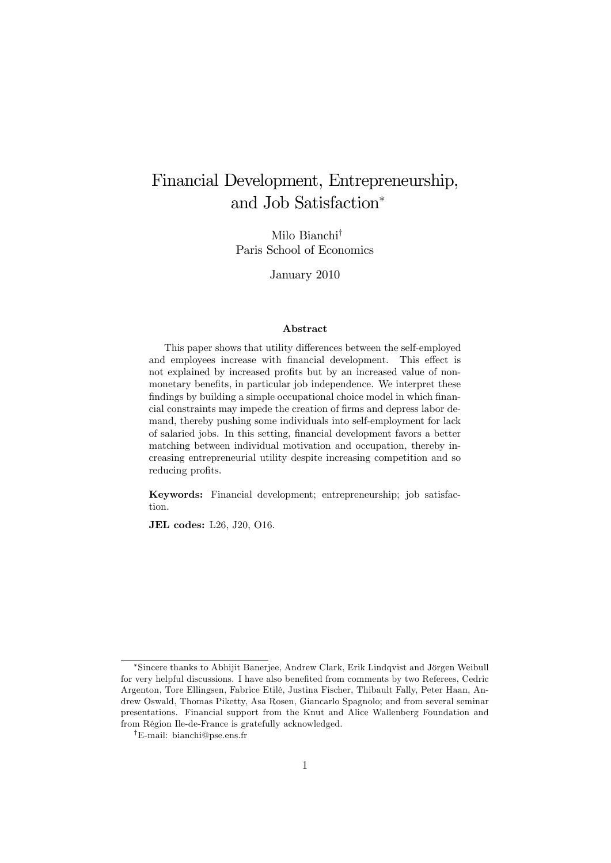# Financial Development, Entrepreneurship, and Job Satisfaction

Milo Bianchi<sup>†</sup> Paris School of Economics

January 2010

#### Abstract

This paper shows that utility differences between the self-employed and employees increase with financial development. This effect is not explained by increased profits but by an increased value of nonmonetary benefits, in particular job independence. We interpret these findings by building a simple occupational choice model in which financial constraints may impede the creation of firms and depress labor demand, thereby pushing some individuals into self-employment for lack of salaried jobs. In this setting, financial development favors a better matching between individual motivation and occupation, thereby increasing entrepreneurial utility despite increasing competition and so reducing profits.

Keywords: Financial development; entrepreneurship; job satisfaction.

JEL codes: L26, J20, O16.

<sup>\*</sup>Sincere thanks to Abhijit Banerjee, Andrew Clark, Erik Lindqvist and Jörgen Weibull for very helpful discussions. I have also benefited from comments by two Referees, Cedric Argenton, Tore Ellingsen, Fabrice EtilÈ, Justina Fischer, Thibault Fally, Peter Haan, Andrew Oswald, Thomas Piketty, Asa Rosen, Giancarlo Spagnolo; and from several seminar presentations. Financial support from the Knut and Alice Wallenberg Foundation and from Région Ile-de-France is gratefully acknowledged.

<sup>&</sup>lt;sup>†</sup>E-mail: bianchi@pse.ens.fr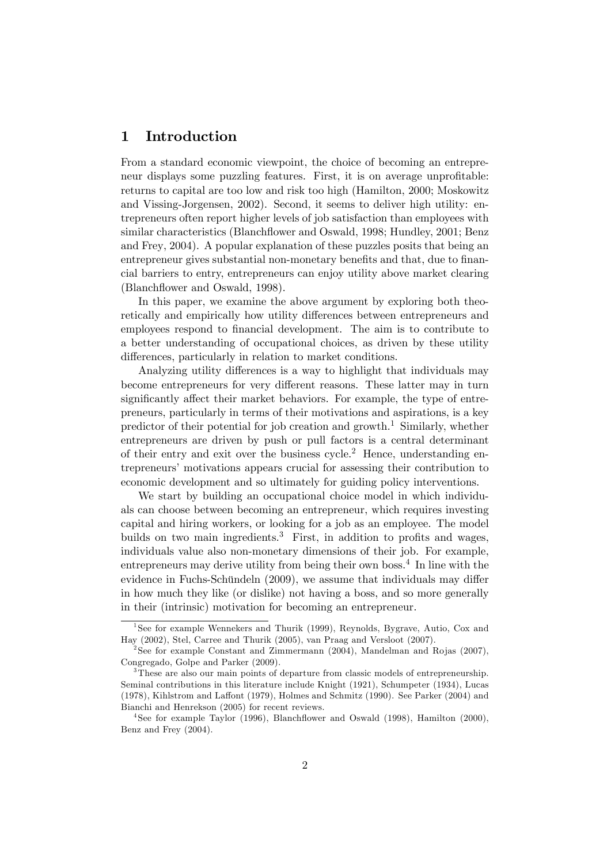# 1 Introduction

From a standard economic viewpoint, the choice of becoming an entrepreneur displays some puzzling features. First, it is on average unprofitable: returns to capital are too low and risk too high (Hamilton, 2000; Moskowitz and Vissing-Jorgensen, 2002). Second, it seems to deliver high utility: entrepreneurs often report higher levels of job satisfaction than employees with similar characteristics (Blanchflower and Oswald, 1998; Hundley, 2001; Benz and Frey, 2004). A popular explanation of these puzzles posits that being an entrepreneur gives substantial non-monetary benefits and that, due to financial barriers to entry, entrepreneurs can enjoy utility above market clearing (Blanchflower and Oswald, 1998).

In this paper, we examine the above argument by exploring both theoretically and empirically how utility differences between entrepreneurs and employees respond to financial development. The aim is to contribute to a better understanding of occupational choices, as driven by these utility differences, particularly in relation to market conditions.

Analyzing utility differences is a way to highlight that individuals may become entrepreneurs for very different reasons. These latter may in turn significantly affect their market behaviors. For example, the type of entrepreneurs, particularly in terms of their motivations and aspirations, is a key predictor of their potential for job creation and growth.<sup>1</sup> Similarly, whether entrepreneurs are driven by push or pull factors is a central determinant of their entry and exit over the business cycle.<sup>2</sup> Hence, understanding entrepreneurs' motivations appears crucial for assessing their contribution to economic development and so ultimately for guiding policy interventions.

We start by building an occupational choice model in which individuals can choose between becoming an entrepreneur, which requires investing capital and hiring workers, or looking for a job as an employee. The model builds on two main ingredients.<sup>3</sup> First, in addition to profits and wages, individuals value also non-monetary dimensions of their job. For example, entrepreneurs may derive utility from being their own boss.<sup>4</sup> In line with the evidence in Fuchs-Schündeln  $(2009)$ , we assume that individuals may differ in how much they like (or dislike) not having a boss, and so more generally in their (intrinsic) motivation for becoming an entrepreneur.

<sup>&</sup>lt;sup>1</sup>See for example Wennekers and Thurik (1999), Reynolds, Bygrave, Autio, Cox and Hay (2002), Stel, Carree and Thurik (2005), van Praag and Versloot (2007).

<sup>&</sup>lt;sup>2</sup>See for example Constant and Zimmermann (2004), Mandelman and Rojas (2007), Congregado, Golpe and Parker (2009).

<sup>&</sup>lt;sup>3</sup>These are also our main points of departure from classic models of entrepreneurship. Seminal contributions in this literature include Knight (1921), Schumpeter (1934), Lucas  $(1978)$ , Kihlstrom and Laffont  $(1979)$ , Holmes and Schmitz  $(1990)$ . See Parker  $(2004)$  and Bianchi and Henrekson (2005) for recent reviews.

<sup>&</sup>lt;sup>4</sup>See for example Taylor (1996), Blanchflower and Oswald (1998), Hamilton (2000), Benz and Frey (2004).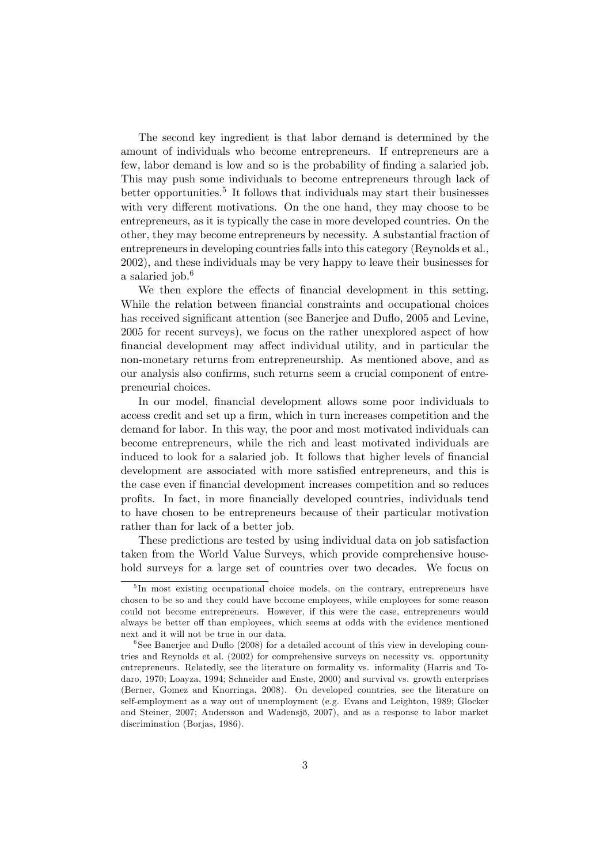The second key ingredient is that labor demand is determined by the amount of individuals who become entrepreneurs. If entrepreneurs are a few, labor demand is low and so is the probability of finding a salaried job. This may push some individuals to become entrepreneurs through lack of better opportunities.<sup>5</sup> It follows that individuals may start their businesses with very different motivations. On the one hand, they may choose to be entrepreneurs, as it is typically the case in more developed countries. On the other, they may become entrepreneurs by necessity. A substantial fraction of entrepreneurs in developing countries falls into this category (Reynolds et al., 2002), and these individuals may be very happy to leave their businesses for a salaried job.<sup>6</sup>

We then explore the effects of financial development in this setting. While the relation between financial constraints and occupational choices has received significant attention (see Banerjee and Duflo, 2005 and Levine, 2005 for recent surveys), we focus on the rather unexplored aspect of how financial development may affect individual utility, and in particular the non-monetary returns from entrepreneurship. As mentioned above, and as our analysis also confirms, such returns seem a crucial component of entrepreneurial choices.

In our model, financial development allows some poor individuals to access credit and set up a firm, which in turn increases competition and the demand for labor. In this way, the poor and most motivated individuals can become entrepreneurs, while the rich and least motivated individuals are induced to look for a salaried job. It follows that higher levels of financial development are associated with more satisfied entrepreneurs, and this is the case even if Önancial development increases competition and so reduces profits. In fact, in more financially developed countries, individuals tend to have chosen to be entrepreneurs because of their particular motivation rather than for lack of a better job.

These predictions are tested by using individual data on job satisfaction taken from the World Value Surveys, which provide comprehensive household surveys for a large set of countries over two decades. We focus on

<sup>&</sup>lt;sup>5</sup>In most existing occupational choice models, on the contrary, entrepreneurs have chosen to be so and they could have become employees, while employees for some reason could not become entrepreneurs. However, if this were the case, entrepreneurs would always be better off than employees, which seems at odds with the evidence mentioned next and it will not be true in our data.

 ${}^{6}$ See Banerjee and Duflo (2008) for a detailed account of this view in developing countries and Reynolds et al. (2002) for comprehensive surveys on necessity vs. opportunity entrepreneurs. Relatedly, see the literature on formality vs. informality (Harris and Todaro, 1970; Loayza, 1994; Schneider and Enste, 2000) and survival vs. growth enterprises (Berner, Gomez and Knorringa, 2008). On developed countries, see the literature on self-employment as a way out of unemployment (e.g. Evans and Leighton, 1989; Glocker and Steiner, 2007; Andersson and Wadensjö, 2007), and as a response to labor market discrimination (Borjas, 1986).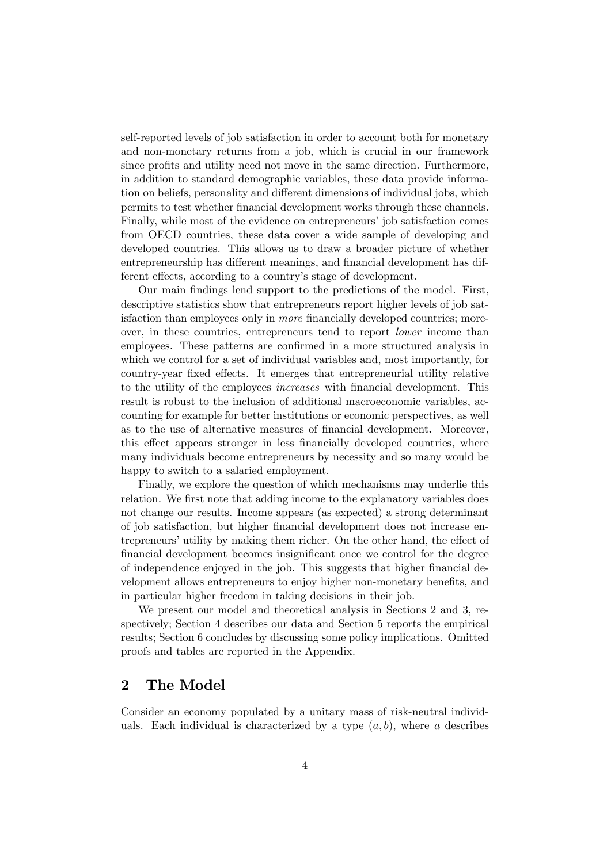self-reported levels of job satisfaction in order to account both for monetary and non-monetary returns from a job, which is crucial in our framework since profits and utility need not move in the same direction. Furthermore, in addition to standard demographic variables, these data provide information on beliefs, personality and different dimensions of individual jobs, which permits to test whether Önancial development works through these channels. Finally, while most of the evidence on entrepreneurs' job satisfaction comes from OECD countries, these data cover a wide sample of developing and developed countries. This allows us to draw a broader picture of whether entrepreneurship has different meanings, and financial development has different effects, according to a country's stage of development.

Our main Öndings lend support to the predictions of the model. First, descriptive statistics show that entrepreneurs report higher levels of job satisfaction than employees only in *more* financially developed countries; moreover, in these countries, entrepreneurs tend to report lower income than employees. These patterns are confirmed in a more structured analysis in which we control for a set of individual variables and, most importantly, for country-year fixed effects. It emerges that entrepreneurial utility relative to the utility of the employees *increases* with financial development. This result is robust to the inclusion of additional macroeconomic variables, accounting for example for better institutions or economic perspectives, as well as to the use of alternative measures of financial development. Moreover, this effect appears stronger in less financially developed countries, where many individuals become entrepreneurs by necessity and so many would be happy to switch to a salaried employment.

Finally, we explore the question of which mechanisms may underlie this relation. We first note that adding income to the explanatory variables does not change our results. Income appears (as expected) a strong determinant of job satisfaction, but higher financial development does not increase entrepreneurs' utility by making them richer. On the other hand, the effect of financial development becomes insignificant once we control for the degree of independence enjoyed in the job. This suggests that higher financial development allows entrepreneurs to enjoy higher non-monetary benefits, and in particular higher freedom in taking decisions in their job.

We present our model and theoretical analysis in Sections 2 and 3, respectively; Section 4 describes our data and Section 5 reports the empirical results; Section 6 concludes by discussing some policy implications. Omitted proofs and tables are reported in the Appendix.

# 2 The Model

Consider an economy populated by a unitary mass of risk-neutral individuals. Each individual is characterized by a type  $(a, b)$ , where a describes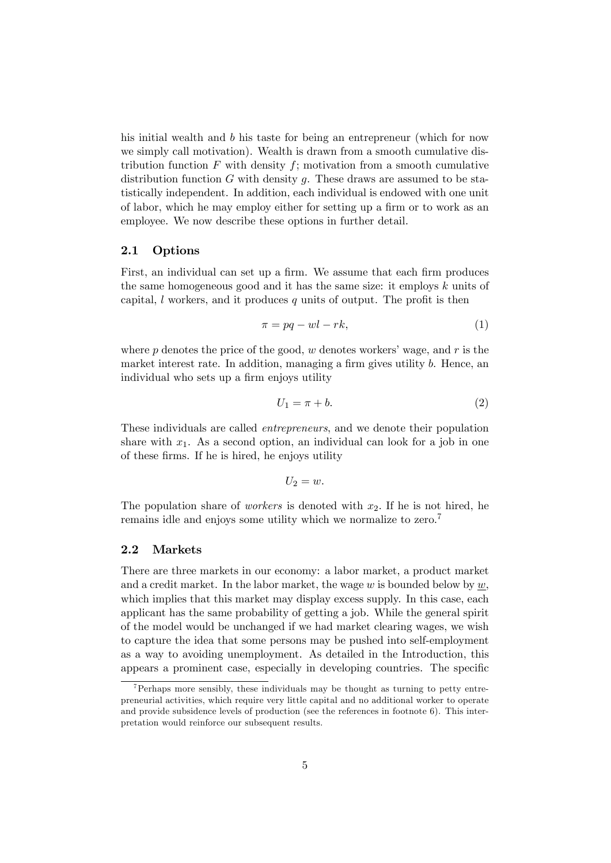his initial wealth and b his taste for being an entrepreneur (which for now we simply call motivation). Wealth is drawn from a smooth cumulative distribution function  $F$  with density  $f$ ; motivation from a smooth cumulative distribution function  $G$  with density  $g$ . These draws are assumed to be statistically independent. In addition, each individual is endowed with one unit of labor, which he may employ either for setting up a firm or to work as an employee. We now describe these options in further detail.

### 2.1 Options

First, an individual can set up a firm. We assume that each firm produces the same homogeneous good and it has the same size: it employs k units of capital,  $l$  workers, and it produces  $q$  units of output. The profit is then

$$
\pi = pq -wl - rk,\tag{1}
$$

where p denotes the price of the good,  $w$  denotes workers' wage, and  $r$  is the market interest rate. In addition, managing a firm gives utility  $b$ . Hence, an individual who sets up a firm enjoys utility

$$
U_1 = \pi + b. \tag{2}
$$

These individuals are called entrepreneurs, and we denote their population share with  $x_1$ . As a second option, an individual can look for a job in one of these Örms. If he is hired, he enjoys utility

$$
U_2=w.
$$

The population share of *workers* is denoted with  $x_2$ . If he is not hired, he remains idle and enjoys some utility which we normalize to zero.<sup>7</sup>

### 2.2 Markets

There are three markets in our economy: a labor market, a product market and a credit market. In the labor market, the wage  $w$  is bounded below by  $w$ , which implies that this market may display excess supply. In this case, each applicant has the same probability of getting a job. While the general spirit of the model would be unchanged if we had market clearing wages, we wish to capture the idea that some persons may be pushed into self-employment as a way to avoiding unemployment. As detailed in the Introduction, this appears a prominent case, especially in developing countries. The specific

 $7$ Perhaps more sensibly, these individuals may be thought as turning to petty entrepreneurial activities, which require very little capital and no additional worker to operate and provide subsidence levels of production (see the references in footnote 6). This interpretation would reinforce our subsequent results.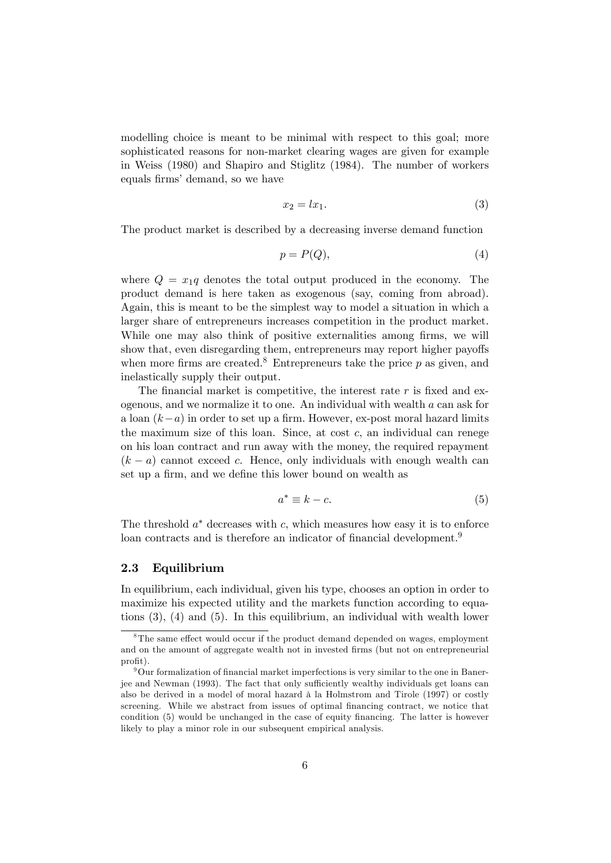modelling choice is meant to be minimal with respect to this goal; more sophisticated reasons for non-market clearing wages are given for example in Weiss (1980) and Shapiro and Stiglitz (1984). The number of workers equals firms' demand, so we have

$$
x_2 = lx_1. \tag{3}
$$

The product market is described by a decreasing inverse demand function

$$
p = P(Q),\tag{4}
$$

where  $Q = x_1q$  denotes the total output produced in the economy. The product demand is here taken as exogenous (say, coming from abroad). Again, this is meant to be the simplest way to model a situation in which a larger share of entrepreneurs increases competition in the product market. While one may also think of positive externalities among firms, we will show that, even disregarding them, entrepreneurs may report higher payoffs when more firms are created.<sup>8</sup> Entrepreneurs take the price  $p$  as given, and inelastically supply their output.

The financial market is competitive, the interest rate  $r$  is fixed and exogenous, and we normalize it to one. An individual with wealth  $a$  can ask for a loan  $(k-a)$  in order to set up a firm. However, ex-post moral hazard limits the maximum size of this loan. Since, at cost  $c$ , an individual can renege on his loan contract and run away with the money, the required repayment  $(k - a)$  cannot exceed c. Hence, only individuals with enough wealth can set up a firm, and we define this lower bound on wealth as

$$
a^* \equiv k - c. \tag{5}
$$

The threshold  $a^*$  decreases with c, which measures how easy it is to enforce loan contracts and is therefore an indicator of financial development.<sup>9</sup>

### 2.3 Equilibrium

In equilibrium, each individual, given his type, chooses an option in order to maximize his expected utility and the markets function according to equations (3), (4) and (5). In this equilibrium, an individual with wealth lower

 ${}^{8}$ The same effect would occur if the product demand depended on wages, employment and on the amount of aggregate wealth not in invested firms (but not on entrepreneurial profit).

 $9$ Our formalization of financial market imperfections is very similar to the one in Banerjee and Newman (1993). The fact that only sufficiently wealthy individuals get loans can also be derived in a model of moral hazard à la Holmstrom and Tirole (1997) or costly screening. While we abstract from issues of optimal financing contract, we notice that condition  $(5)$  would be unchanged in the case of equity financing. The latter is however likely to play a minor role in our subsequent empirical analysis.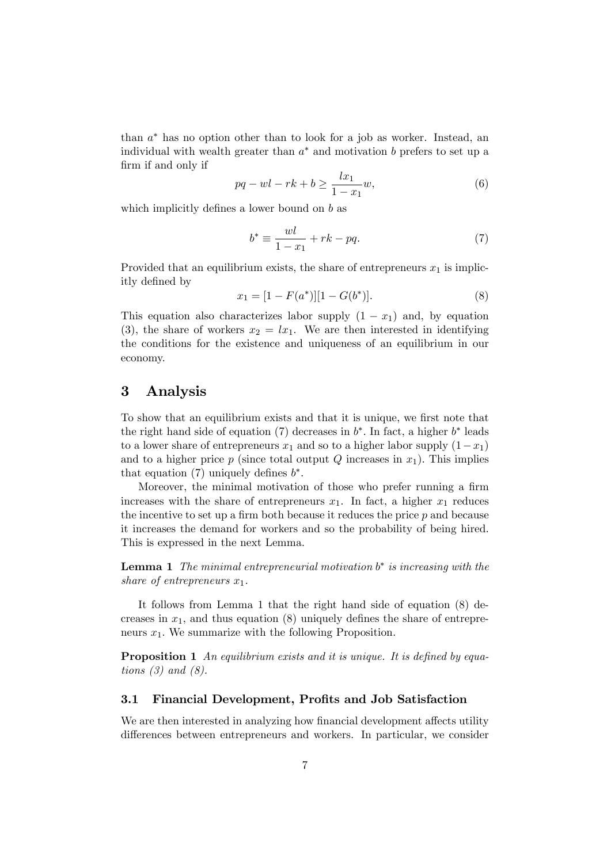than  $a^*$  has no option other than to look for a job as worker. Instead, an individual with wealth greater than  $a^*$  and motivation b prefers to set up a firm if and only if

$$
pq - wl - rk + b \ge \frac{lx_1}{1 - x_1}w,\tag{6}
$$

which implicitly defines a lower bound on b as

$$
b^* \equiv \frac{wl}{1 - x_1} + rk - pq. \tag{7}
$$

Provided that an equilibrium exists, the share of entrepreneurs  $x_1$  is implicitly defined by

$$
x_1 = [1 - F(a^*)][1 - G(b^*)]. \tag{8}
$$

This equation also characterizes labor supply  $(1 - x_1)$  and, by equation (3), the share of workers  $x_2 = lx_1$ . We are then interested in identifying the conditions for the existence and uniqueness of an equilibrium in our economy.

# 3 Analysis

To show that an equilibrium exists and that it is unique, we first note that the right hand side of equation (7) decreases in  $b^*$ . In fact, a higher  $b^*$  leads to a lower share of entrepreneurs  $x_1$  and so to a higher labor supply  $(1-x_1)$ and to a higher price p (since total output  $Q$  increases in  $x_1$ ). This implies that equation (7) uniquely defines  $b^*$ .

Moreover, the minimal motivation of those who prefer running a firm increases with the share of entrepreneurs  $x_1$ . In fact, a higher  $x_1$  reduces the incentive to set up a firm both because it reduces the price  $p$  and because it increases the demand for workers and so the probability of being hired. This is expressed in the next Lemma.

**Lemma 1** The minimal entrepreneurial motivation  $b^*$  is increasing with the share of entrepreneurs  $x_1$ .

It follows from Lemma 1 that the right hand side of equation (8) decreases in  $x_1$ , and thus equation (8) uniquely defines the share of entrepreneurs  $x_1$ . We summarize with the following Proposition.

**Proposition 1** An equilibrium exists and it is unique. It is defined by equations  $(3)$  and  $(8)$ .

# 3.1 Financial Development, Profits and Job Satisfaction

We are then interested in analyzing how financial development affects utility differences between entrepreneurs and workers. In particular, we consider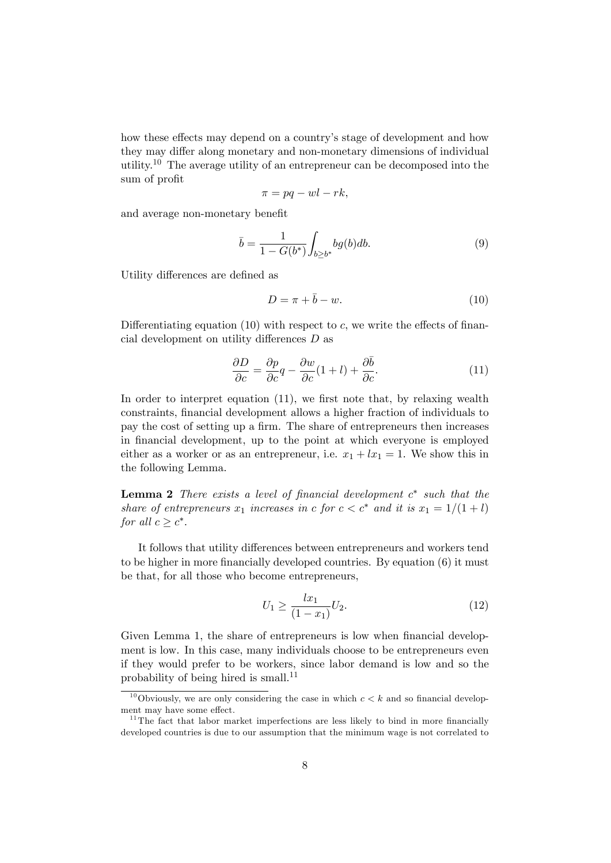how these effects may depend on a country's stage of development and how they may differ along monetary and non-monetary dimensions of individual utility.<sup>10</sup> The average utility of an entrepreneur can be decomposed into the sum of profit

$$
\pi = pq -wl - rk,
$$

and average non-monetary benefit

$$
\bar{b} = \frac{1}{1 - G(b^*)} \int_{b \ge b^*} bg(b) db.
$$
 (9)

Utility differences are defined as

$$
D = \pi + \bar{b} - w.\tag{10}
$$

Differentiating equation (10) with respect to c, we write the effects of financial development on utility differences  $D$  as

$$
\frac{\partial D}{\partial c} = \frac{\partial p}{\partial c}q - \frac{\partial w}{\partial c}(1+l) + \frac{\partial \bar{b}}{\partial c}.
$$
 (11)

In order to interpret equation  $(11)$ , we first note that, by relaxing wealth constraints, financial development allows a higher fraction of individuals to pay the cost of setting up a firm. The share of entrepreneurs then increases in financial development, up to the point at which everyone is employed either as a worker or as an entrepreneur, i.e.  $x_1 + lx_1 = 1$ . We show this in the following Lemma.

**Lemma 2** There exists a level of financial development  $c^*$  such that the share of entrepreneurs  $x_1$  increases in c for  $c < c^*$  and it is  $x_1 = 1/(1 + l)$ for all  $c \geq c^*$ .

It follows that utility differences between entrepreneurs and workers tend to be higher in more financially developed countries. By equation  $(6)$  it must be that, for all those who become entrepreneurs,

$$
U_1 \ge \frac{lx_1}{(1-x_1)}U_2. \tag{12}
$$

Given Lemma 1, the share of entrepreneurs is low when financial development is low. In this case, many individuals choose to be entrepreneurs even if they would prefer to be workers, since labor demand is low and so the probability of being hired is small.<sup>11</sup>

<sup>&</sup>lt;sup>10</sup>Obviously, we are only considering the case in which  $c < k$  and so financial development may have some effect.

 $11$ <sup>11</sup>The fact that labor market imperfections are less likely to bind in more financially developed countries is due to our assumption that the minimum wage is not correlated to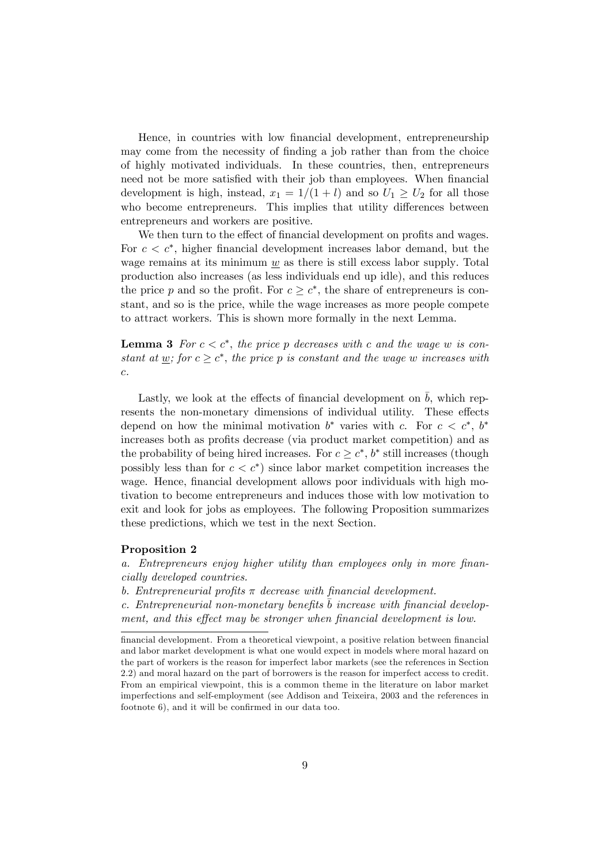Hence, in countries with low Önancial development, entrepreneurship may come from the necessity of finding a job rather than from the choice of highly motivated individuals. In these countries, then, entrepreneurs need not be more satisfied with their job than employees. When financial development is high, instead,  $x_1 = 1/(1 + l)$  and so  $U_1 \ge U_2$  for all those who become entrepreneurs. This implies that utility differences between entrepreneurs and workers are positive.

We then turn to the effect of financial development on profits and wages. For  $c < c^*$ , higher financial development increases labor demand, but the wage remains at its minimum  $\underline{w}$  as there is still excess labor supply. Total production also increases (as less individuals end up idle), and this reduces the price p and so the profit. For  $c \geq c^*$ , the share of entrepreneurs is constant, and so is the price, while the wage increases as more people compete to attract workers. This is shown more formally in the next Lemma.

**Lemma 3** For  $c < c^*$ , the price p decreases with c and the wage w is constant at <u>w</u>; for  $c \geq c^*$ , the price p is constant and the wage w increases with  $\boldsymbol{c}.$ 

Lastly, we look at the effects of financial development on  $\bar{b}$ , which represents the non-monetary dimensions of individual utility. These effects depend on how the minimal motivation  $b^*$  varies with c. For  $c < c^*$ ,  $b^*$ increases both as profits decrease (via product market competition) and as the probability of being hired increases. For  $c \geq c^*$ ,  $b^*$  still increases (though possibly less than for  $c < c^*$  since labor market competition increases the wage. Hence, financial development allows poor individuals with high motivation to become entrepreneurs and induces those with low motivation to exit and look for jobs as employees. The following Proposition summarizes these predictions, which we test in the next Section.

#### Proposition 2

a. Entrepreneurs enjoy higher utility than employees only in more financially developed countries.

b. Entrepreneurial profits  $\pi$  decrease with financial development.

c. Entrepreneurial non-monetary benefits b increase with financial development, and this effect may be stronger when financial development is low.

financial development. From a theoretical viewpoint, a positive relation between financial and labor market development is what one would expect in models where moral hazard on the part of workers is the reason for imperfect labor markets (see the references in Section 2.2) and moral hazard on the part of borrowers is the reason for imperfect access to credit. From an empirical viewpoint, this is a common theme in the literature on labor market imperfections and self-employment (see Addison and Teixeira, 2003 and the references in footnote  $6$ ), and it will be confirmed in our data too.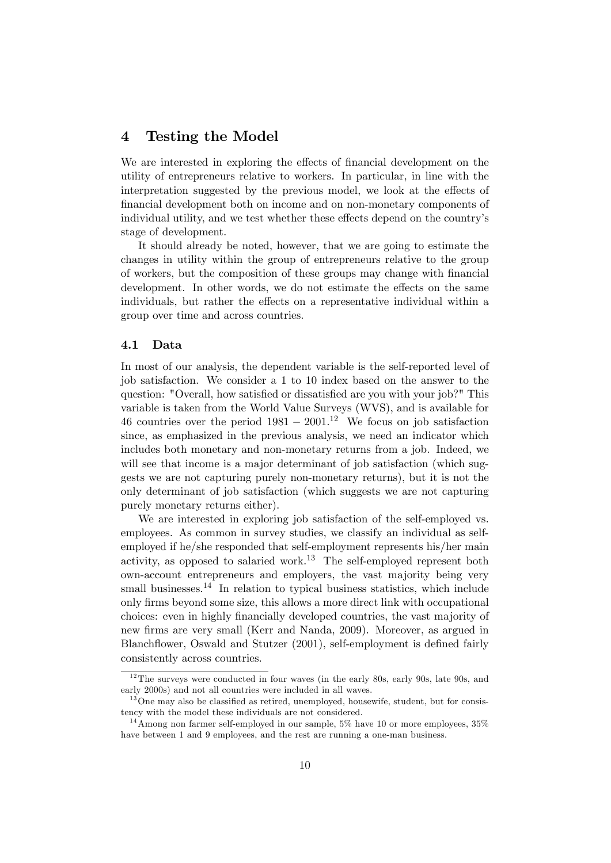# 4 Testing the Model

We are interested in exploring the effects of financial development on the utility of entrepreneurs relative to workers. In particular, in line with the interpretation suggested by the previous model, we look at the effects of Önancial development both on income and on non-monetary components of individual utility, and we test whether these effects depend on the country's stage of development.

It should already be noted, however, that we are going to estimate the changes in utility within the group of entrepreneurs relative to the group of workers, but the composition of these groups may change with Önancial development. In other words, we do not estimate the effects on the same individuals, but rather the effects on a representative individual within a group over time and across countries.

### 4.1 Data

In most of our analysis, the dependent variable is the self-reported level of job satisfaction. We consider a 1 to 10 index based on the answer to the question: "Overall, how satisfied or dissatisfied are you with your job?" This variable is taken from the World Value Surveys (WVS), and is available for 46 countries over the period  $1981 - 2001$ .<sup>12</sup> We focus on job satisfaction since, as emphasized in the previous analysis, we need an indicator which includes both monetary and non-monetary returns from a job. Indeed, we will see that income is a major determinant of job satisfaction (which suggests we are not capturing purely non-monetary returns), but it is not the only determinant of job satisfaction (which suggests we are not capturing purely monetary returns either).

We are interested in exploring job satisfaction of the self-employed vs. employees. As common in survey studies, we classify an individual as selfemployed if he/she responded that self-employment represents his/her main activity, as opposed to salaried work.<sup>13</sup> The self-employed represent both own-account entrepreneurs and employers, the vast majority being very small businesses.<sup>14</sup> In relation to typical business statistics, which include only Örms beyond some size, this allows a more direct link with occupational choices: even in highly Önancially developed countries, the vast majority of new Örms are very small (Kerr and Nanda, 2009). Moreover, as argued in Blanchflower, Oswald and Stutzer (2001), self-employment is defined fairly consistently across countries.

 $12$ The surveys were conducted in four waves (in the early 80s, early 90s, late 90s, and early 2000s) and not all countries were included in all waves.

 $13$  One may also be classified as retired, unemployed, housewife, student, but for consistency with the model these individuals are not considered.

 $14$ Among non farmer self-employed in our sample, 5% have 10 or more employees, 35% have between 1 and 9 employees, and the rest are running a one-man business.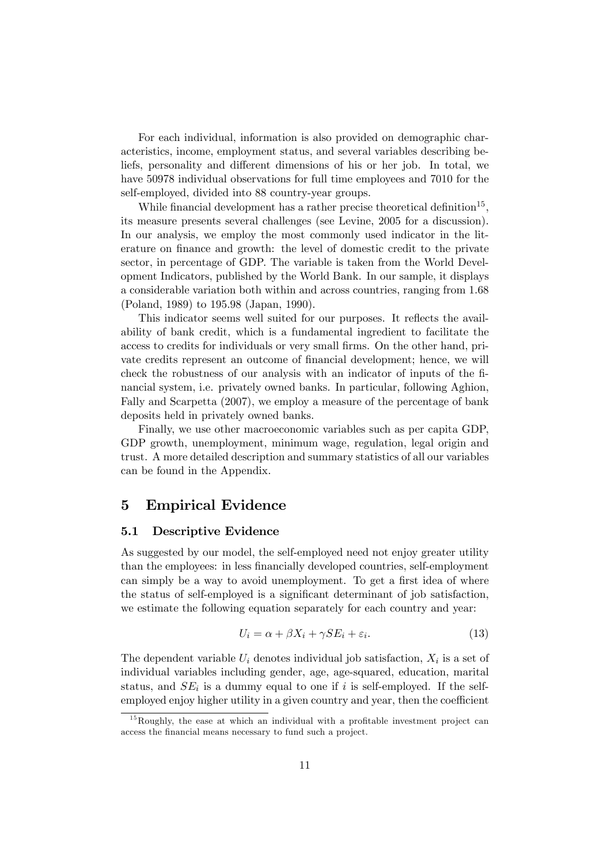For each individual, information is also provided on demographic characteristics, income, employment status, and several variables describing beliefs, personality and different dimensions of his or her job. In total, we have 50978 individual observations for full time employees and 7010 for the self-employed, divided into 88 country-year groups.

While financial development has a rather precise theoretical definition<sup>15</sup>, its measure presents several challenges (see Levine, 2005 for a discussion). In our analysis, we employ the most commonly used indicator in the literature on finance and growth: the level of domestic credit to the private sector, in percentage of GDP. The variable is taken from the World Development Indicators, published by the World Bank. In our sample, it displays a considerable variation both within and across countries, ranging from 1:68 (Poland, 1989) to 195:98 (Japan, 1990).

This indicator seems well suited for our purposes. It reflects the availability of bank credit, which is a fundamental ingredient to facilitate the access to credits for individuals or very small firms. On the other hand, private credits represent an outcome of financial development; hence, we will check the robustness of our analysis with an indicator of inputs of the Önancial system, i.e. privately owned banks. In particular, following Aghion, Fally and Scarpetta (2007), we employ a measure of the percentage of bank deposits held in privately owned banks.

Finally, we use other macroeconomic variables such as per capita GDP, GDP growth, unemployment, minimum wage, regulation, legal origin and trust. A more detailed description and summary statistics of all our variables can be found in the Appendix.

# 5 Empirical Evidence

### 5.1 Descriptive Evidence

As suggested by our model, the self-employed need not enjoy greater utility than the employees: in less financially developed countries, self-employment can simply be a way to avoid unemployment. To get a first idea of where the status of self-employed is a significant determinant of job satisfaction, we estimate the following equation separately for each country and year:

$$
U_i = \alpha + \beta X_i + \gamma SE_i + \varepsilon_i. \tag{13}
$$

The dependent variable  $U_i$  denotes individual job satisfaction,  $X_i$  is a set of individual variables including gender, age, age-squared, education, marital status, and  $SE_i$  is a dummy equal to one if i is self-employed. If the selfemployed enjoy higher utility in a given country and year, then the coefficient

 $15$ Roughly, the ease at which an individual with a profitable investment project can access the financial means necessary to fund such a project.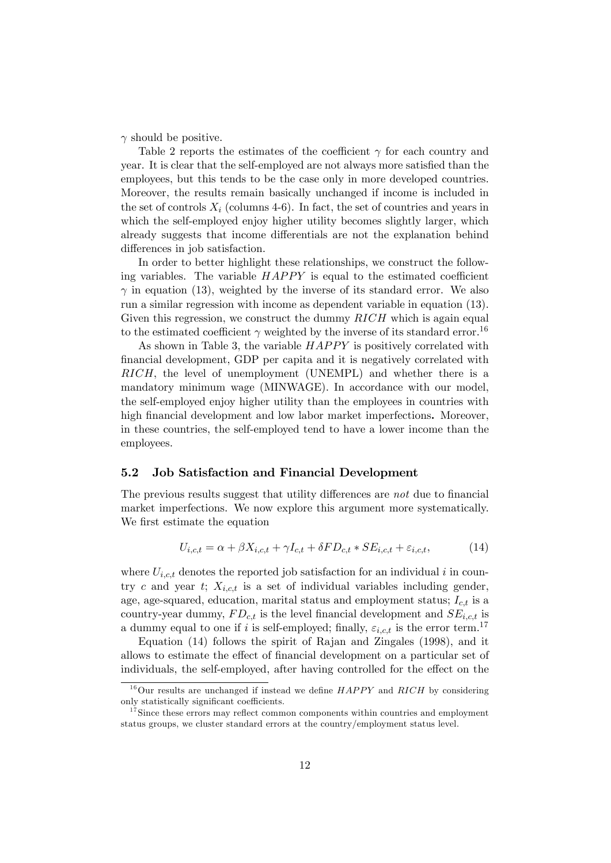$\gamma$  should be positive.

Table 2 reports the estimates of the coefficient  $\gamma$  for each country and year. It is clear that the self-employed are not always more satisfied than the employees, but this tends to be the case only in more developed countries. Moreover, the results remain basically unchanged if income is included in the set of controls  $X_i$  (columns 4-6). In fact, the set of countries and years in which the self-employed enjoy higher utility becomes slightly larger, which already suggests that income differentials are not the explanation behind differences in job satisfaction.

In order to better highlight these relationships, we construct the following variables. The variable  $HAPPY$  is equal to the estimated coefficient  $\gamma$  in equation (13), weighted by the inverse of its standard error. We also run a similar regression with income as dependent variable in equation (13). Given this regression, we construct the dummy  $RICH$  which is again equal to the estimated coefficient  $\gamma$  weighted by the inverse of its standard error.<sup>16</sup>

As shown in Table 3, the variable  $HAPPY$  is positively correlated with Önancial development, GDP per capita and it is negatively correlated with RICH; the level of unemployment (UNEMPL) and whether there is a mandatory minimum wage (MINWAGE): In accordance with our model, the self-employed enjoy higher utility than the employees in countries with high financial development and low labor market imperfections. Moreover, in these countries, the self-employed tend to have a lower income than the employees.

#### 5.2 Job Satisfaction and Financial Development

The previous results suggest that utility differences are not due to financial market imperfections. We now explore this argument more systematically. We first estimate the equation

$$
U_{i,c,t} = \alpha + \beta X_{i,c,t} + \gamma I_{c,t} + \delta FD_{c,t} * SE_{i,c,t} + \varepsilon_{i,c,t},\tag{14}
$$

where  $U_{i,c,t}$  denotes the reported job satisfaction for an individual i in country c and year t;  $X_{i,c,t}$  is a set of individual variables including gender, age, age-squared, education, marital status and employment status;  $I_{c,t}$  is a country-year dummy,  $FD_{c,t}$  is the level financial development and  $SE_{i,c,t}$  is a dummy equal to one if i is self-employed; finally,  $\varepsilon_{i,c,t}$  is the error term.<sup>17</sup>

Equation (14) follows the spirit of Rajan and Zingales (1998), and it allows to estimate the effect of financial development on a particular set of individuals, the self-employed, after having controlled for the effect on the

 $16$ Our results are unchanged if instead we define  $HAPPY$  and  $RICH$  by considering only statistically significant coefficients.

 $17$ Since these errors may reflect common components within countries and employment status groups, we cluster standard errors at the country/employment status level.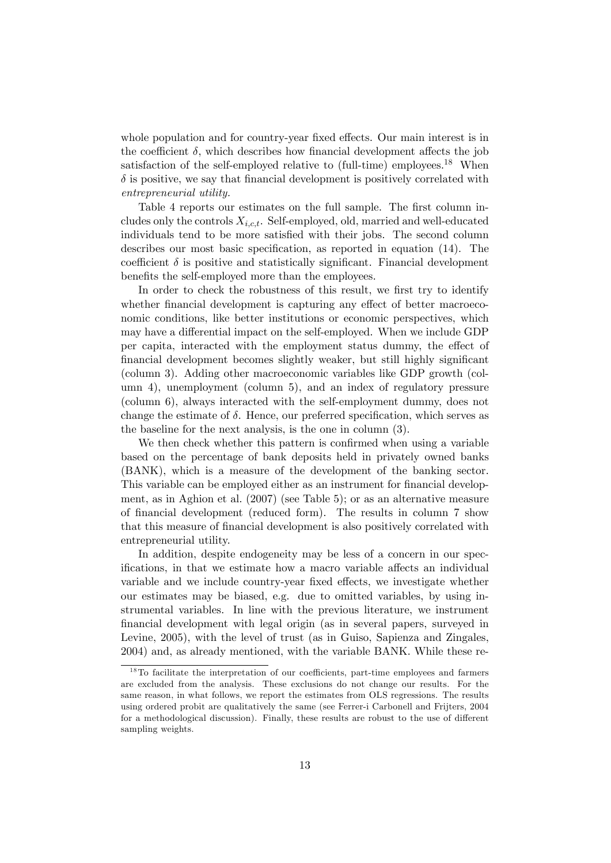whole population and for country-year fixed effects. Our main interest is in the coefficient  $\delta$ , which describes how financial development affects the job satisfaction of the self-employed relative to (full-time) employees.<sup>18</sup> When  $\delta$  is positive, we say that financial development is positively correlated with entrepreneurial utility.

Table 4 reports our estimates on the full sample. The first column includes only the controls  $X_{i,ct}$ . Self-employed, old, married and well-educated individuals tend to be more satisfied with their jobs. The second column describes our most basic specification, as reported in equation  $(14)$ . The coefficient  $\delta$  is positive and statistically significant. Financial development benefits the self-employed more than the employees.

In order to check the robustness of this result, we first try to identify whether financial development is capturing any effect of better macroeconomic conditions, like better institutions or economic perspectives, which may have a differential impact on the self-employed. When we include GDP per capita, interacted with the employment status dummy, the effect of financial development becomes slightly weaker, but still highly significant (column 3). Adding other macroeconomic variables like GDP growth (column 4), unemployment (column 5), and an index of regulatory pressure (column 6), always interacted with the self-employment dummy, does not change the estimate of  $\delta$ . Hence, our preferred specification, which serves as the baseline for the next analysis, is the one in column (3).

We then check whether this pattern is confirmed when using a variable based on the percentage of bank deposits held in privately owned banks (BANK), which is a measure of the development of the banking sector. This variable can be employed either as an instrument for financial development, as in Aghion et al. (2007) (see Table 5); or as an alternative measure of financial development (reduced form). The results in column 7 show that this measure of financial development is also positively correlated with entrepreneurial utility.

In addition, despite endogeneity may be less of a concern in our specifications, in that we estimate how a macro variable affects an individual variable and we include country-year fixed effects, we investigate whether our estimates may be biased, e.g. due to omitted variables, by using instrumental variables. In line with the previous literature, we instrument Önancial development with legal origin (as in several papers, surveyed in Levine, 2005), with the level of trust (as in Guiso, Sapienza and Zingales, 2004) and, as already mentioned, with the variable BANK. While these re-

 $18$ To facilitate the interpretation of our coefficients, part-time employees and farmers are excluded from the analysis. These exclusions do not change our results. For the same reason, in what follows, we report the estimates from OLS regressions. The results using ordered probit are qualitatively the same (see Ferrer-i Carbonell and Frijters, 2004 for a methodological discussion). Finally, these results are robust to the use of different sampling weights.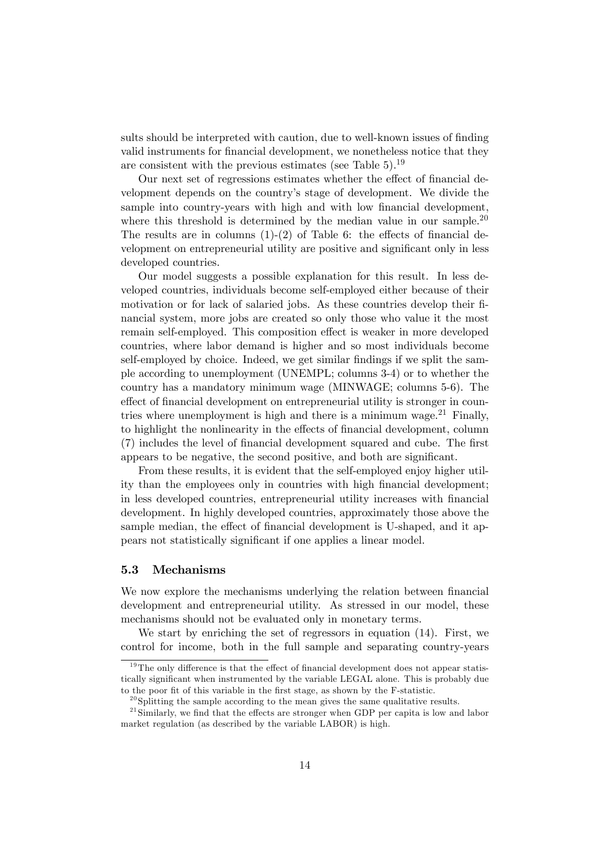sults should be interpreted with caution, due to well-known issues of finding valid instruments for financial development, we nonetheless notice that they are consistent with the previous estimates (see Table  $5$ ).<sup>19</sup>

Our next set of regressions estimates whether the effect of financial development depends on the countryís stage of development. We divide the sample into country-years with high and with low financial development, where this threshold is determined by the median value in our sample.<sup>20</sup> The results are in columns  $(1)-(2)$  of Table 6: the effects of financial development on entrepreneurial utility are positive and significant only in less developed countries.

Our model suggests a possible explanation for this result. In less developed countries, individuals become self-employed either because of their motivation or for lack of salaried jobs. As these countries develop their Önancial system, more jobs are created so only those who value it the most remain self-employed. This composition effect is weaker in more developed countries, where labor demand is higher and so most individuals become self-employed by choice. Indeed, we get similar findings if we split the sample according to unemployment (UNEMPL; columns 3-4) or to whether the country has a mandatory minimum wage (MINWAGE; columns 5-6). The effect of financial development on entrepreneurial utility is stronger in countries where unemployment is high and there is a minimum wage. $21$  Finally, to highlight the nonlinearity in the effects of financial development, column (7) includes the level of financial development squared and cube. The first appears to be negative, the second positive, and both are significant.

From these results, it is evident that the self-employed enjoy higher utility than the employees only in countries with high financial development; in less developed countries, entrepreneurial utility increases with Önancial development. In highly developed countries, approximately those above the sample median, the effect of financial development is U-shaped, and it appears not statistically significant if one applies a linear model.

#### 5.3 Mechanisms

We now explore the mechanisms underlying the relation between financial development and entrepreneurial utility. As stressed in our model, these mechanisms should not be evaluated only in monetary terms.

We start by enriching the set of regressors in equation (14). First, we control for income, both in the full sample and separating country-years

 $19$ The only difference is that the effect of financial development does not appear statistically significant when instrumented by the variable LEGAL alone. This is probably due to the poor fit of this variable in the first stage, as shown by the F-statistic.

 $^{20}$ Splitting the sample according to the mean gives the same qualitative results.

 $21$ Similarly, we find that the effects are stronger when GDP per capita is low and labor market regulation (as described by the variable LABOR) is high.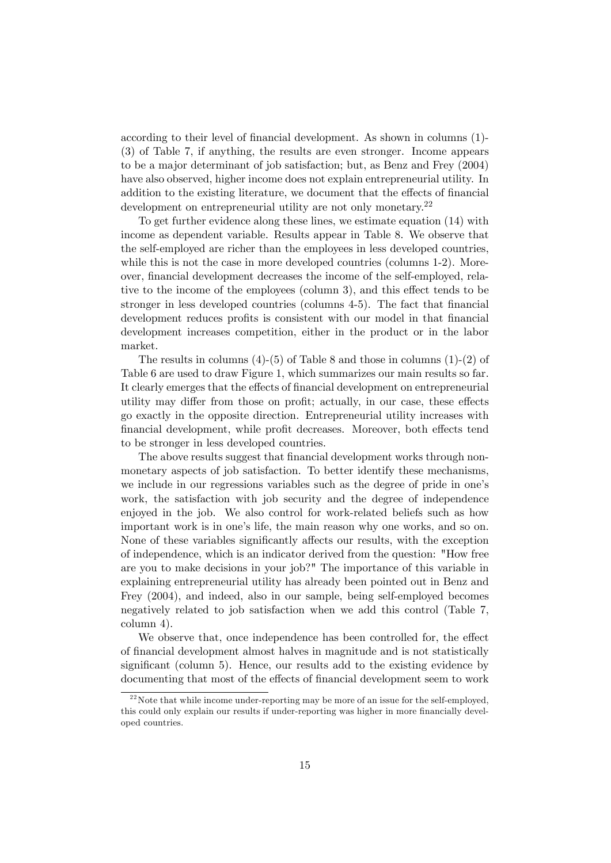according to their level of financial development. As shown in columns (1)-(3) of Table 7, if anything, the results are even stronger. Income appears to be a major determinant of job satisfaction; but, as Benz and Frey (2004) have also observed, higher income does not explain entrepreneurial utility. In addition to the existing literature, we document that the effects of financial development on entrepreneurial utility are not only monetary.<sup>22</sup>

To get further evidence along these lines, we estimate equation (14) with income as dependent variable. Results appear in Table 8. We observe that the self-employed are richer than the employees in less developed countries, while this is not the case in more developed countries (columns 1-2). Moreover, financial development decreases the income of the self-employed, relative to the income of the employees (column 3), and this effect tends to be stronger in less developed countries (columns 4-5). The fact that financial development reduces profits is consistent with our model in that financial development increases competition, either in the product or in the labor market.

The results in columns  $(4)-(5)$  of Table 8 and those in columns  $(1)-(2)$  of Table 6 are used to draw Figure 1, which summarizes our main results so far. It clearly emerges that the effects of financial development on entrepreneurial utility may differ from those on profit; actually, in our case, these effects go exactly in the opposite direction. Entrepreneurial utility increases with financial development, while profit decreases. Moreover, both effects tend to be stronger in less developed countries.

The above results suggest that financial development works through nonmonetary aspects of job satisfaction. To better identify these mechanisms, we include in our regressions variables such as the degree of pride in one's work, the satisfaction with job security and the degree of independence enjoyed in the job. We also control for work-related beliefs such as how important work is in one's life, the main reason why one works, and so on. None of these variables significantly affects our results, with the exception of independence, which is an indicator derived from the question: "How free are you to make decisions in your job?" The importance of this variable in explaining entrepreneurial utility has already been pointed out in Benz and Frey (2004), and indeed, also in our sample, being self-employed becomes negatively related to job satisfaction when we add this control (Table 7, column 4).

We observe that, once independence has been controlled for, the effect of Önancial development almost halves in magnitude and is not statistically significant (column 5). Hence, our results add to the existing evidence by documenting that most of the effects of financial development seem to work

 $2<sup>22</sup>$  Note that while income under-reporting may be more of an issue for the self-employed, this could only explain our results if under-reporting was higher in more financially developed countries.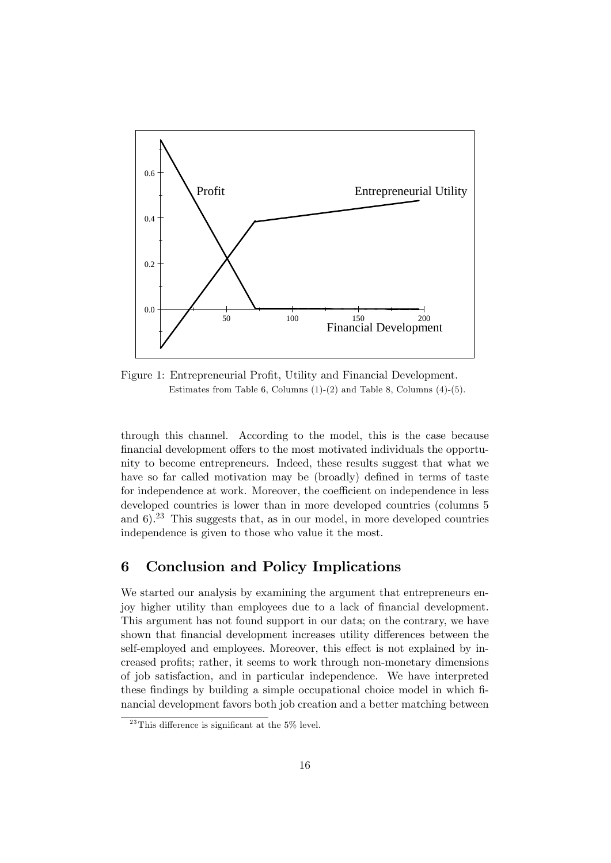

Figure 1: Entrepreneurial Profit, Utility and Financial Development. Estimates from Table 6, Columns  $(1)-(2)$  and Table 8, Columns  $(4)-(5)$ .

through this channel. According to the model, this is the case because financial development offers to the most motivated individuals the opportunity to become entrepreneurs. Indeed, these results suggest that what we have so far called motivation may be (broadly) defined in terms of taste for independence at work. Moreover, the coefficient on independence in less developed countries is lower than in more developed countries (columns 5 and  $6$ ).<sup>23</sup> This suggests that, as in our model, in more developed countries independence is given to those who value it the most.

# 6 Conclusion and Policy Implications

We started our analysis by examining the argument that entrepreneurs enjoy higher utility than employees due to a lack of financial development. This argument has not found support in our data; on the contrary, we have shown that financial development increases utility differences between the self-employed and employees. Moreover, this effect is not explained by increased profits; rather, it seems to work through non-monetary dimensions of job satisfaction, and in particular independence. We have interpreted these findings by building a simple occupational choice model in which financial development favors both job creation and a better matching between

<sup>&</sup>lt;sup>23</sup>This difference is significant at the  $5\%$  level.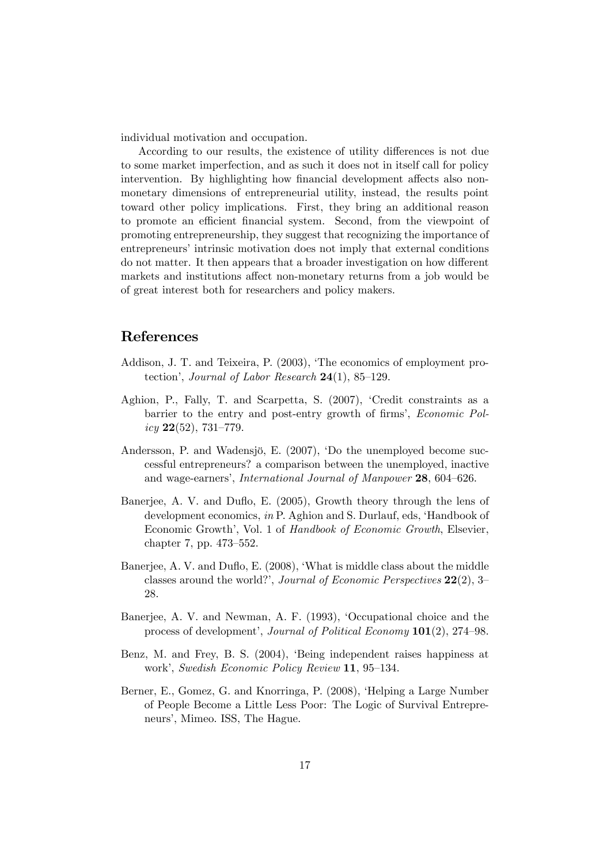individual motivation and occupation.

According to our results, the existence of utility differences is not due to some market imperfection, and as such it does not in itself call for policy intervention. By highlighting how financial development affects also nonmonetary dimensions of entrepreneurial utility, instead, the results point toward other policy implications. First, they bring an additional reason to promote an efficient financial system. Second, from the viewpoint of promoting entrepreneurship, they suggest that recognizing the importance of entrepreneurs' intrinsic motivation does not imply that external conditions do not matter. It then appears that a broader investigation on how different markets and institutions affect non-monetary returns from a job would be of great interest both for researchers and policy makers.

# References

- Addison, J. T. and Teixeira, P. (2003), 'The economics of employment protection', Journal of Labor Research  $24(1)$ , 85–129.
- Aghion, P., Fally, T. and Scarpetta, S. (2007), 'Credit constraints as a barrier to the entry and post-entry growth of firms', *Economic Pol* $icy 22(52), 731–779.$
- Andersson, P. and Wadensjö, E.  $(2007)$ , Do the unemployed become successful entrepreneurs? a comparison between the unemployed, inactive and wage-earners', International Journal of Manpower 28, 604–626.
- Banerjee, A. V. and Duflo, E. (2005), Growth theory through the lens of development economics, in P. Aghion and S. Durlauf, eds, 'Handbook of Economic Growth', Vol. 1 of Handbook of Economic Growth, Elsevier, chapter 7, pp.  $473 - 552$ .
- Banerjee, A. V. and Duflo, E. (2008), 'What is middle class about the middle classes around the world?', Journal of Economic Perspectives  $22(2)$ , 3-28.
- Banerjee, A. V. and Newman, A. F. (1993), 'Occupational choice and the process of development', Journal of Political Economy  $101(2)$ , 274–98.
- Benz, M. and Frey, B. S. (2004), 'Being independent raises happiness at work', Swedish Economic Policy Review 11, 95-134.
- Berner, E., Gomez, G. and Knorringa, P. (2008), ëHelping a Large Number of People Become a Little Less Poor: The Logic of Survival Entrepreneurs', Mimeo. ISS, The Hague.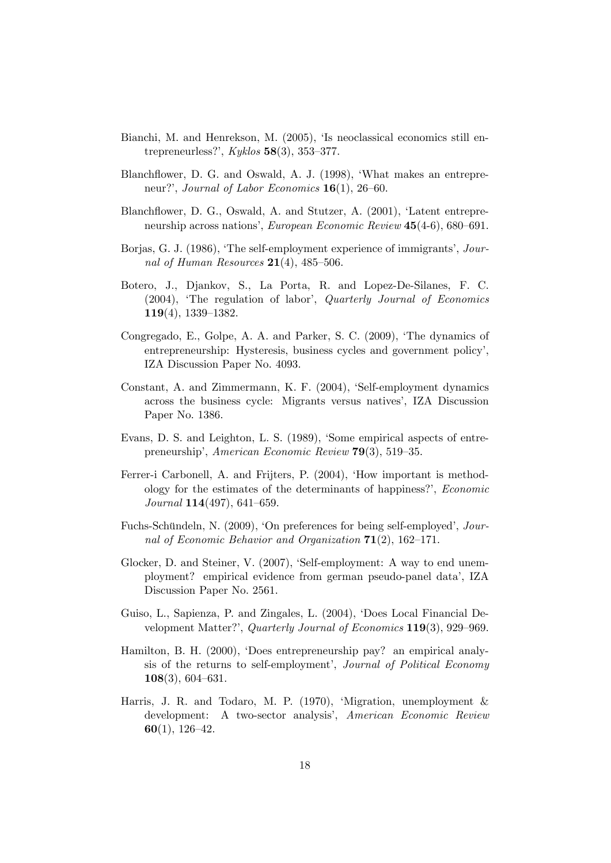- Bianchi, M. and Henrekson, M. (2005), 'Is neoclassical economics still entrepreneurless?',  $Kyklos$  58(3), 353-377.
- Blanchflower, D. G. and Oswald, A. J. (1998), 'What makes an entrepreneur?', Journal of Labor Economics  $16(1)$ , 26-60.
- Blanchflower, D. G., Oswald, A. and Stutzer, A. (2001), 'Latent entrepreneurship across nations', European Economic Review 45(4-6), 680–691.
- Borjas, G. J. (1986), 'The self-employment experience of immigrants', Journal of Human Resources  $21(4)$ , 485-506.
- Botero, J., Djankov, S., La Porta, R. and Lopez-De-Silanes, F. C.  $(2004)$ , 'The regulation of labor', Quarterly Journal of Economics  $119(4)$ , 1339-1382.
- Congregado, E., Golpe, A. A. and Parker, S. C. (2009), ëThe dynamics of entrepreneurship: Hysteresis, business cycles and government policy', IZA Discussion Paper No. 4093.
- Constant, A. and Zimmermann, K. F. (2004), 'Self-employment dynamics across the business cycle: Migrants versus natives', IZA Discussion Paper No. 1386.
- Evans, D. S. and Leighton, L. S. (1989), 'Some empirical aspects of entrepreneurship', American Economic Review  $79(3)$ , 519–35.
- Ferrer-i Carbonell, A. and Frijters, P. (2004), 'How important is methodology for the estimates of the determinants of happiness?', Economic  $Journal 114(497), 641–659.$
- Fuchs-Schündeln, N. (2009), 'On preferences for being self-employed', Journal of Economic Behavior and Organization  $71(2)$ , 162-171.
- Glocker, D. and Steiner, V. (2007), 'Self-employment: A way to end unemployment? empirical evidence from german pseudo-panel data', IZA Discussion Paper No. 2561.
- Guiso, L., Sapienza, P. and Zingales, L. (2004), ëDoes Local Financial Development Matter?', Quarterly Journal of Economics  $119(3)$ , 929–969.
- Hamilton, B. H. (2000), ëDoes entrepreneurship pay? an empirical analysis of the returns to self-employment', Journal of Political Economy  $108(3), 604–631.$
- Harris, J. R. and Todaro, M. P. (1970), 'Migration, unemployment & development: A two-sector analysis', American Economic Review  $60(1), 126-42.$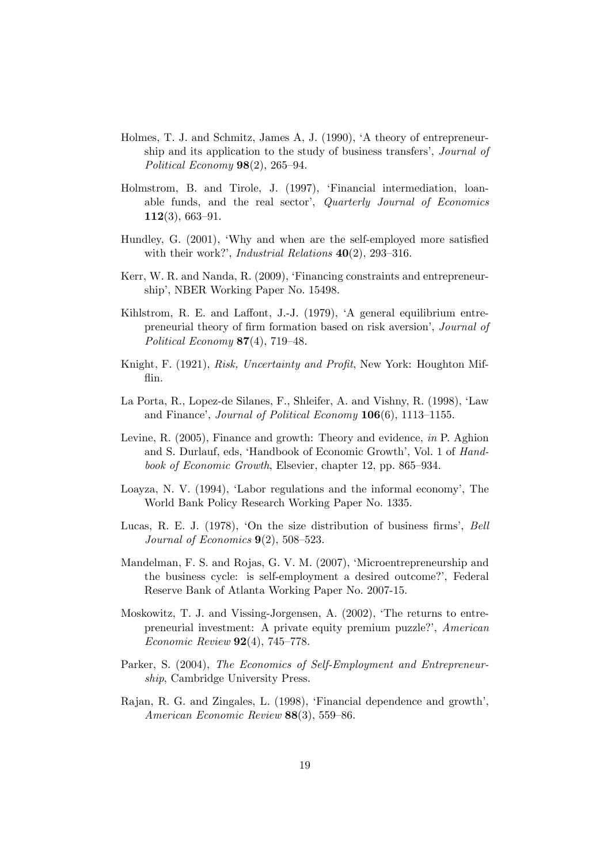- Holmes, T. J. and Schmitz, James A, J. (1990), ëA theory of entrepreneurship and its application to the study of business transfers', *Journal of* Political Economy  $98(2)$ ,  $265-94$ .
- Holmstrom, B. and Tirole, J. (1997), 'Financial intermediation, loanable funds, and the real sector',  $Quarterly Journal of Economics$  $112(3), 663-91.$
- Hundley, G. (2001), 'Why and when are the self-employed more satisfied with their work?', *Industrial Relations*  $40(2)$ , 293-316.
- Kerr, W. R. and Nanda, R. (2009), 'Financing constraints and entrepreneurshipí, NBER Working Paper No. 15498.
- Kihlstrom, R. E. and Laffont, J.-J.  $(1979)$ ,  $A$  general equilibrium entrepreneurial theory of firm formation based on risk aversion', *Journal of* Political Economy  $87(4)$ , 719–48.
- Knight, F. (1921), Risk, Uncertainty and Profit, New York: Houghton Mifflin.
- La Porta, R., Lopez-de Silanes, F., Shleifer, A. and Vishny, R. (1998), 'Law and Finance', Journal of Political Economy  $106(6)$ , 1113-1155.
- Levine, R. (2005), Finance and growth: Theory and evidence, in P. Aghion and S. Durlauf, eds, 'Handbook of Economic Growth', Vol. 1 of Handbook of Economic Growth, Elsevier, chapter 12, pp.  $865-934$ .
- Loayza, N. V. (1994), 'Labor regulations and the informal economy', The World Bank Policy Research Working Paper No. 1335.
- Lucas, R. E. J.  $(1978)$ ,  $\Omega$  the size distribution of business firms, Bell Journal of Economics  $9(2)$ , 508–523.
- Mandelman, F. S. and Rojas, G. V. M. (2007), 'Microentrepreneurship and the business cycle: is self-employment a desired outcome?', Federal Reserve Bank of Atlanta Working Paper No. 2007-15.
- Moskowitz, T. J. and Vissing-Jorgensen, A. (2002), 'The returns to entrepreneurial investment: A private equity premium puzzle?', American Economic Review  $92(4)$ , 745–778.
- Parker, S. (2004), The Economics of Self-Employment and Entrepreneurship, Cambridge University Press.
- Rajan, R. G. and Zingales, L. (1998), 'Financial dependence and growth', American Economic Review  $88(3)$ , 559–86.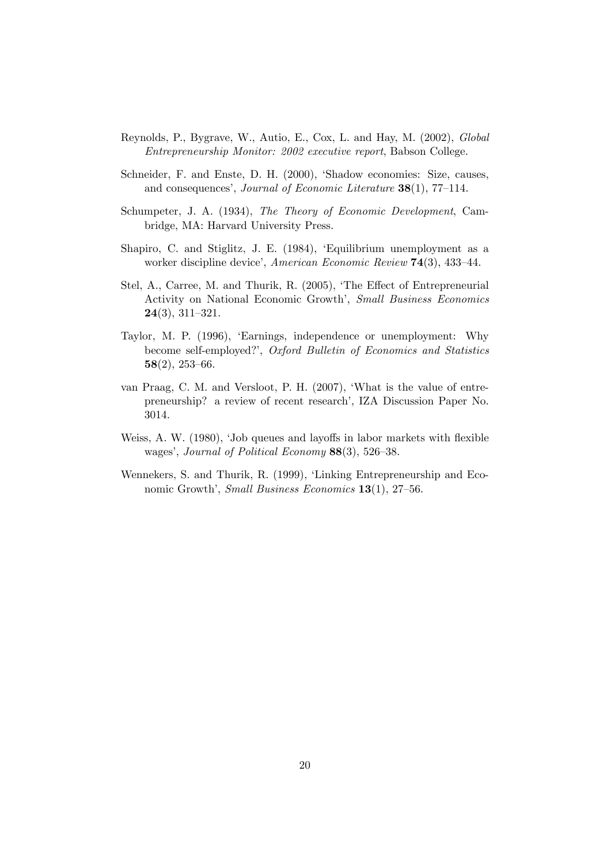- Reynolds, P., Bygrave, W., Autio, E., Cox, L. and Hay, M. (2002), Global Entrepreneurship Monitor: 2002 executive report, Babson College.
- Schneider, F. and Enste, D. H. (2000), 'Shadow economies: Size, causes, and consequences', Journal of Economic Literature  $38(1)$ , 77-114.
- Schumpeter, J. A. (1934), The Theory of Economic Development, Cambridge, MA: Harvard University Press.
- Shapiro, C. and Stiglitz, J. E. (1984), 'Equilibrium unemployment as a worker discipline device', American Economic Review  $74(3)$ , 433-44.
- Stel, A., Carree, M. and Thurik, R. (2005), 'The Effect of Entrepreneurial Activity on National Economic Growth', Small Business Economics  $24(3), 311-321.$
- Taylor, M. P. (1996), ëEarnings, independence or unemployment: Why become self-employed?', Oxford Bulletin of Economics and Statistics  $58(2), 253-66.$
- van Praag, C. M. and Versloot, P. H. (2007), ëWhat is the value of entrepreneurship? a review of recent research', IZA Discussion Paper No. 3014.
- Weiss, A. W. (1980), 'Job queues and layoffs in labor markets with flexible wages', Journal of Political Economy  $88(3)$ , 526–38.
- Wennekers, S. and Thurik, R. (1999), ëLinking Entrepreneurship and Economic Growth', Small Business Economics  $13(1)$ , 27-56.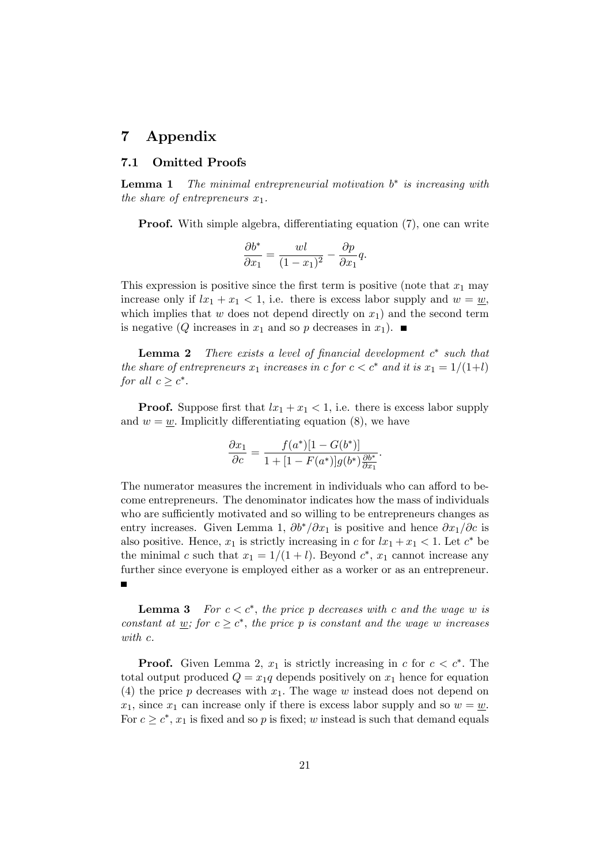# 7 Appendix

### 7.1 Omitted Proofs

**Lemma 1** The minimal entrepreneurial motivation  $b^*$  is increasing with the share of entrepreneurs  $x_1$ .

**Proof.** With simple algebra, differentiating equation (7), one can write

$$
\frac{\partial b^*}{\partial x_1} = \frac{wl}{(1 - x_1)^2} - \frac{\partial p}{\partial x_1}q.
$$

This expression is positive since the first term is positive (note that  $x_1$  may increase only if  $lx_1 + x_1 < 1$ , i.e. there is excess labor supply and  $w = w$ , which implies that w does not depend directly on  $x_1$ ) and the second term is negative (Q increases in  $x_1$  and so p decreases in  $x_1$ ).

**Lemma 2** There exists a level of financial development  $c^*$  such that the share of entrepreneurs  $x_1$  increases in c for  $c < c^*$  and it is  $x_1 = 1/(1+l)$ for all  $c \geq c^*$ .

**Proof.** Suppose first that  $lx_1 + x_1 < 1$ , i.e. there is excess labor supply and  $w = w$ . Implicitly differentiating equation (8), we have

$$
\frac{\partial x_1}{\partial c} = \frac{f(a^*)[1 - G(b^*)]}{1 + [1 - F(a^*)]g(b^*)\frac{\partial b^*}{\partial x_1}}.
$$

The numerator measures the increment in individuals who can afford to become entrepreneurs. The denominator indicates how the mass of individuals who are sufficiently motivated and so willing to be entrepreneurs changes as entry increases. Given Lemma 1,  $\partial b^*/\partial x_1$  is positive and hence  $\partial x_1/\partial c$  is also positive. Hence,  $x_1$  is strictly increasing in c for  $lx_1 + x_1 < 1$ . Let  $c^*$  be the minimal c such that  $x_1 = 1/(1 + l)$ . Beyond  $c^*$ ,  $x_1$  cannot increase any further since everyone is employed either as a worker or as an entrepreneur.

**Lemma 3** For  $c < c^*$ , the price p decreases with c and the wage w is constant at <u>w</u>; for  $c \geq c^*$ , the price p is constant and the wage w increases with c.

**Proof.** Given Lemma 2,  $x_1$  is strictly increasing in c for  $c < c^*$ . The total output produced  $Q = x_1q$  depends positively on  $x_1$  hence for equation (4) the price p decreases with  $x_1$ . The wage w instead does not depend on  $x_1$ , since  $x_1$  can increase only if there is excess labor supply and so  $w = w$ . For  $c \geq c^*$ ,  $x_1$  is fixed and so p is fixed; w instead is such that demand equals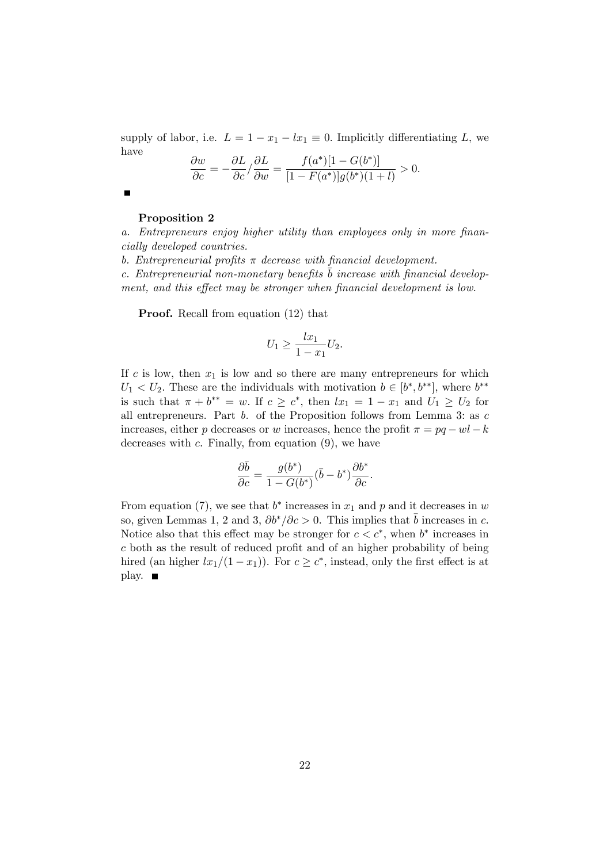supply of labor, i.e.  $L = 1 - x_1 - lx_1 \equiv 0$ . Implicitly differentiating L, we have

$$
\frac{\partial w}{\partial c} = -\frac{\partial L}{\partial c} / \frac{\partial L}{\partial w} = \frac{f(a^*)[1 - G(b^*)]}{[1 - F(a^*)]g(b^*)(1 + l)} > 0.
$$

 $\blacksquare$ 

### Proposition 2

a. Entrepreneurs enjoy higher utility than employees only in more financially developed countries.

b. Entrepreneurial profits  $\pi$  decrease with financial development.

c. Entrepreneurial non-monetary benefits  $\overline{b}$  increase with financial development, and this effect may be stronger when financial development is low.

Proof. Recall from equation (12) that

$$
U_1 \ge \frac{lx_1}{1 - x_1} U_2.
$$

If c is low, then  $x_1$  is low and so there are many entrepreneurs for which  $U_1 < U_2$ . These are the individuals with motivation  $b \in [b^*, b^{**}]$ , where  $b^{**}$ is such that  $\pi + b^{**} = w$ . If  $c \geq c^*$ , then  $lx_1 = 1 - x_1$  and  $U_1 \geq U_2$  for all entrepreneurs. Part  $b$ . of the Proposition follows from Lemma 3: as  $c$ increases, either p decreases or w increases, hence the profit  $\pi = pq -wl - k$ decreases with  $c$ . Finally, from equation  $(9)$ , we have

$$
\frac{\partial \bar{b}}{\partial c} = \frac{g(b^*)}{1 - G(b^*)} (\bar{b} - b^*) \frac{\partial b^*}{\partial c}.
$$

From equation (7), we see that  $b^*$  increases in  $x_1$  and p and it decreases in w so, given Lemmas 1, 2 and 3,  $\partial b^*/\partial c > 0$ . This implies that  $\bar{b}$  increases in c. Notice also that this effect may be stronger for  $c < c^*$ , when  $b^*$  increases in  $c$  both as the result of reduced profit and of an higher probability of being hired (an higher  $lx_1/(1 - x_1)$ ). For  $c \geq c^*$ , instead, only the first effect is at play. ■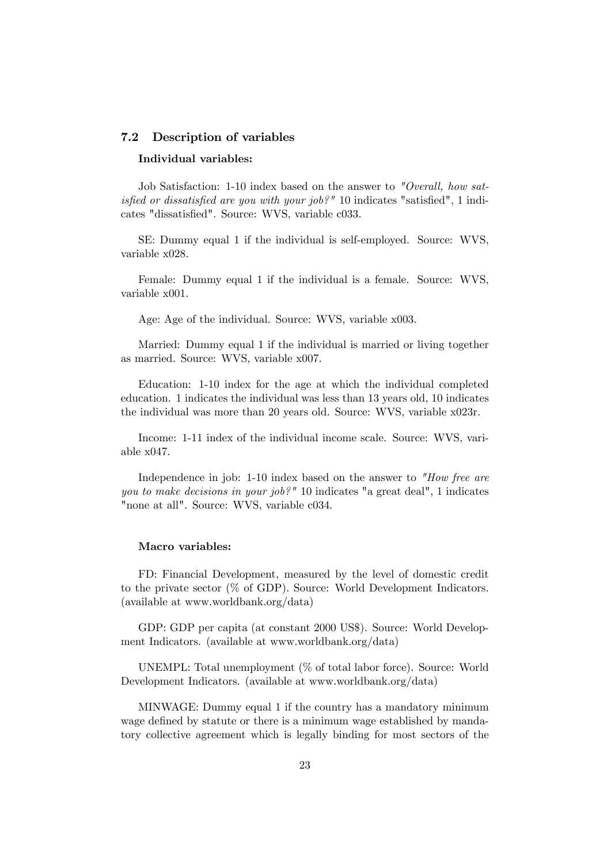### 7.2 Description of variables

### Individual variables:

Job Satisfaction: 1-10 index based on the answer to "Overall, how satisfied or dissatisfied are you with your job?" 10 indicates "satisfied", 1 indicates "dissatisfied". Source: WVS, variable c033.

SE: Dummy equal 1 if the individual is self-employed. Source: WVS, variable x028.

Female: Dummy equal 1 if the individual is a female. Source: WVS, variable x001.

Age: Age of the individual. Source: WVS, variable x003.

Married: Dummy equal 1 if the individual is married or living together as married. Source: WVS, variable x007.

Education: 1-10 index for the age at which the individual completed education. 1 indicates the individual was less than 13 years old, 10 indicates the individual was more than 20 years old. Source: WVS, variable x023r.

Income: 1-11 index of the individual income scale. Source: WVS, variable x047.

Independence in job: 1-10 index based on the answer to "How free are you to make decisions in your job?" 10 indicates "a great deal", 1 indicates "none at all". Source: WVS, variable c034.

### Macro variables:

FD: Financial Development, measured by the level of domestic credit to the private sector (% of GDP). Source: World Development Indicators. (available at www.worldbank.org/data)

GDP: GDP per capita (at constant 2000 US\$). Source: World Development Indicators. (available at www.worldbank.org/data)

UNEMPL: Total unemployment (% of total labor force). Source: World Development Indicators. (available at www.worldbank.org/data)

MINWAGE: Dummy equal 1 if the country has a mandatory minimum wage defined by statute or there is a minimum wage established by mandatory collective agreement which is legally binding for most sectors of the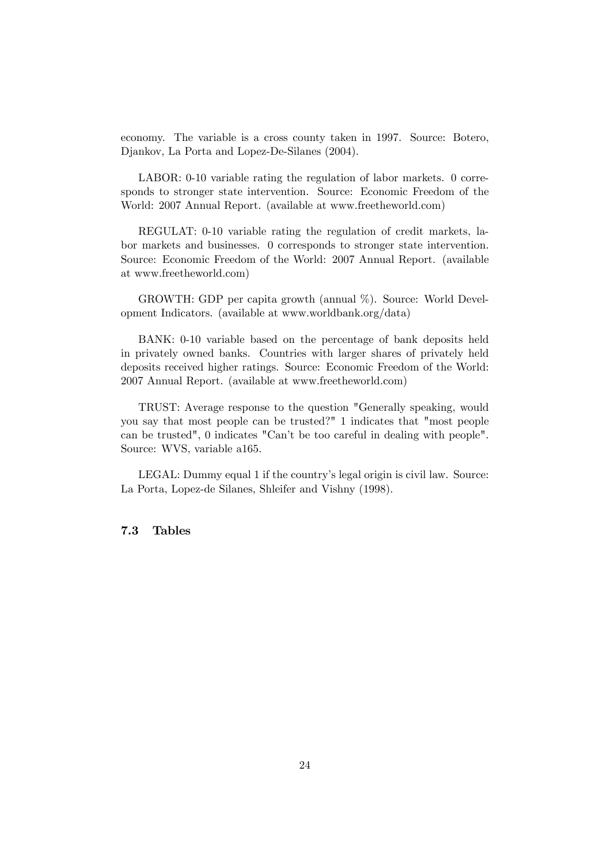economy. The variable is a cross county taken in 1997. Source: Botero, Djankov, La Porta and Lopez-De-Silanes (2004).

LABOR: 0-10 variable rating the regulation of labor markets. 0 corresponds to stronger state intervention. Source: Economic Freedom of the World: 2007 Annual Report. (available at www.freetheworld.com)

REGULAT: 0-10 variable rating the regulation of credit markets, labor markets and businesses. 0 corresponds to stronger state intervention. Source: Economic Freedom of the World: 2007 Annual Report. (available at www.freetheworld.com)

GROWTH: GDP per capita growth (annual %). Source: World Development Indicators. (available at www.worldbank.org/data)

BANK: 0-10 variable based on the percentage of bank deposits held in privately owned banks. Countries with larger shares of privately held deposits received higher ratings. Source: Economic Freedom of the World: 2007 Annual Report. (available at www.freetheworld.com)

TRUST: Average response to the question "Generally speaking, would you say that most people can be trusted?" 1 indicates that "most people can be trusted", 0 indicates "Canít be too careful in dealing with people". Source: WVS, variable a165.

LEGAL: Dummy equal 1 if the country's legal origin is civil law. Source: La Porta, Lopez-de Silanes, Shleifer and Vishny (1998).

### 7.3 Tables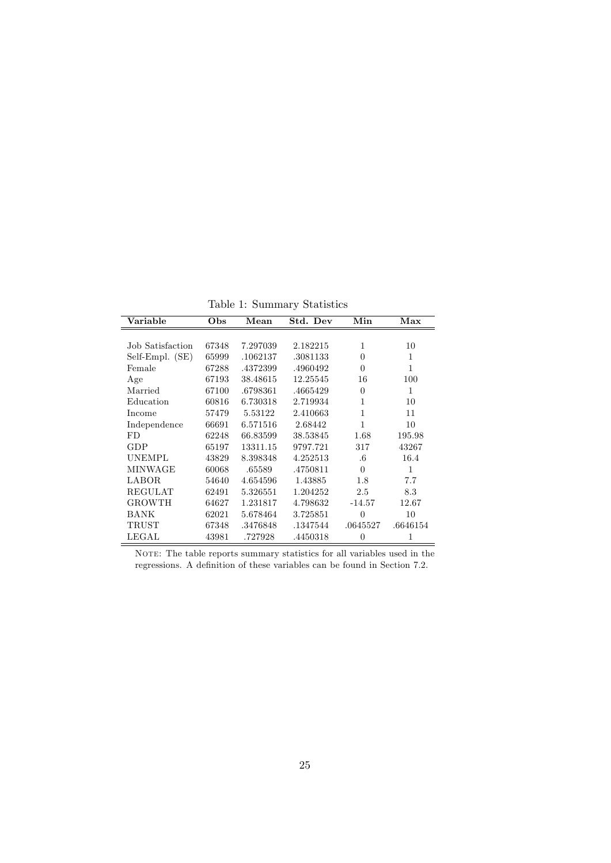Table 1: Summary Statistics

| Variable         | Obs   | Mean     | Std. Dev | Min      | Max      |
|------------------|-------|----------|----------|----------|----------|
|                  |       |          |          |          |          |
| Job Satisfaction | 67348 | 7.297039 | 2.182215 | 1        | 10       |
| Self-Empl. (SE)  | 65999 | .1062137 | .3081133 | 0        | 1        |
| Female           | 67288 | .4372399 | .4960492 | $\theta$ | 1        |
| Age              | 67193 | 38.48615 | 12.25545 | 16       | 100      |
| Married          | 67100 | .6798361 | .4665429 | $\theta$ | 1        |
| Education        | 60816 | 6.730318 | 2.719934 | 1        | 10       |
| Income           | 57479 | 5.53122  | 2.410663 | 1        | 11       |
| Independence     | 66691 | 6.571516 | 2.68442  | 1        | 10       |
| FD               | 62248 | 66.83599 | 38.53845 | 1.68     | 195.98   |
| GDP              | 65197 | 13311.15 | 9797.721 | 317      | 43267    |
| <b>UNEMPL</b>    | 43829 | 8.398348 | 4.252513 | $.6\,$   | 16.4     |
| MINWAGE          | 60068 | .65589   | .4750811 | $\Omega$ | 1        |
| LABOR.           | 54640 | 4.654596 | 1.43885  | 1.8      | 7.7      |
| REGULAT          | 62491 | 5.326551 | 1.204252 | 2.5      | 8.3      |
| <b>GROWTH</b>    | 64627 | 1.231817 | 4.798632 | $-14.57$ | 12.67    |
| <b>BANK</b>      | 62021 | 5.678464 | 3.725851 | $\theta$ | 10       |
| TRUST            | 67348 | .3476848 | .1347544 | .0645527 | .6646154 |
| LEGAL            | 43981 | .727928  | .4450318 | 0        | 1        |

NOTE: The table reports summary statistics for all variables used in the regressions. A definition of these variables can be found in Section 7.2.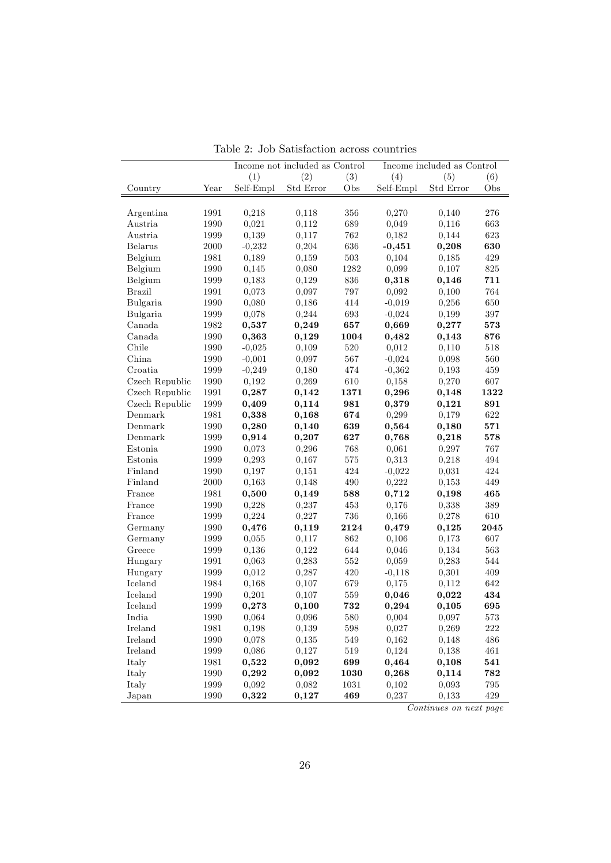|                    |              | Income not included as Control |           | Income included as Control |           |                |            |
|--------------------|--------------|--------------------------------|-----------|----------------------------|-----------|----------------|------------|
|                    |              | (1)                            | (2)       | (3)                        | (4)       | (5)            | (6)        |
| Country            | Year         | Self-Empl                      | Std Error | Obs                        | Self-Empl | Std Error      | Obs        |
|                    |              |                                |           |                            |           |                |            |
| Argentina          | 1991         | 0,218                          | 0,118     | 356                        | 0,270     | 0,140          | 276        |
| Austria            | 1990         | 0,021                          | 0,112     | 689                        | 0,049     | 0,116          | 663        |
| Austria            | 1999         | 0,139                          | 0,117     | 762                        | 0,182     | 0,144          | 623        |
| <b>Belarus</b>     | $2000\,$     | $-0,232$                       | 0,204     | 636                        | $-0,451$  | 0,208          | 630        |
| Belgium            | 1981         | 0,189                          | 0,159     | 503                        | 0,104     | 0,185          | 429        |
| Belgium            | 1990         | 0,145                          | 0,080     | 1282                       | 0,099     | 0,107          | 825        |
| Belgium            | 1999         | 0,183                          | 0,129     | 836                        | 0,318     | 0,146          | 711        |
| <b>Brazil</b>      | 1991         | 0,073                          | 0,097     | 797                        | 0,092     | 0,100          | 764        |
| Bulgaria           | 1990         | 0,080                          | 0,186     | 414                        | $-0,019$  | 0,256          | 650        |
| Bulgaria           | 1999         | 0,078                          | 0,244     | 693                        | $-0,024$  | 0,199          | 397        |
| Canada             | 1982         | 0,537                          | 0,249     | 657                        | 0,669     | 0,277          | 573        |
| Canada             | 1990         | 0,363                          | 0,129     | 1004                       | 0,482     | 0,143          | 876        |
| Chile              | 1990         | $-0,025$                       | 0,109     | 520                        | 0,012     | 0,110          | 518        |
| China              | 1990         | $-0,001$                       | 0,097     | 567                        | $-0,024$  | 0,098          | 560        |
| Croatia            | 1999         | $-0,249$                       | 0,180     | 474                        | $-0,362$  | 0,193          | 459        |
| Czech Republic     | 1990         | 0,192                          | 0,269     | 610                        | 0,158     | 0,270          | 607        |
| Czech Republic     | 1991         | 0,287                          | 0,142     | 1371                       | 0,296     | 0,148          | 1322       |
| Czech Republic     | 1999         | 0,409                          | 0,114     | 981                        | 0,379     | 0,121          | 891        |
| Denmark            | 1981         | 0,338                          | 0,168     | 674                        | 0,299     | 0,179          | 622        |
| Denmark            | 1990         | 0,280                          | 0,140     | 639                        | 0,564     | 0,180          | 571        |
| Denmark            | 1999         | 0,914                          | 0,207     | 627                        | 0,768     | 0,218          | 578        |
| Estonia            | 1990         | 0,073                          | 0,296     | 768                        | 0,061     | 0,297          | 767        |
| Estonia            | 1999         | 0,293                          | 0,167     | 575                        | 0,313     | 0,218          | 494        |
| Finland            | 1990         | 0,197                          | 0,151     | 424                        | $-0,022$  | 0,031          | 424        |
| Finland            | 2000         |                                |           | 490                        | 0,222     | 0,153          | 449        |
| France             |              | 0,163                          | 0,148     | 588                        | 0,712     |                | 465        |
| France             | 1981<br>1990 | 0,500                          | 0,149     | 453                        | 0,176     | 0,198<br>0,338 | 389        |
| France             | 1999         | 0,228                          | 0,237     | $736\,$                    |           |                | 610        |
|                    |              | 0,224                          | 0,227     |                            | 0,166     | 0,278          |            |
| Germany            | 1990         | 0,476                          | 0,119     | 2124                       | 0,479     | 0,125          | 2045       |
| Germany            | 1999         | 0,055                          | 0,117     | 862                        | 0,106     | 0,173          | 607        |
| Greece<br>Hungary  | 1999         | 0,136                          | 0,122     | 644<br>552                 | 0,046     | 0,134          | 563<br>544 |
|                    | 1991         | 0,063                          | 0,283     |                            | 0,059     | 0,283          |            |
| Hungary<br>Iceland | 1999         | 0,012                          | 0,287     | 420                        | $-0,118$  | 0,301          | 409        |
| Iceland            | 1984         | 0,168                          | 0,107     | 679                        | 0,175     | 0,112          | 642        |
| Iceland            | 1990<br>1999 | 0,201                          | 0,107     | 559                        | 0,046     | 0,022          | 434<br>695 |
|                    |              | 0,273                          | 0,100     | 732                        | 0,294     | 0,105          |            |
| India              | 1990         | 0,064                          | 0,096     | 580                        | 0,004     | 0,097          | 573        |
| Ireland            | 1981         | 0,198                          | 0,139     | $598\,$                    | 0,027     | 0,269          | $222\,$    |
| Ireland            | 1990         | 0,078                          | 0,135     | $549\,$                    | 0,162     | 0,148          | 486        |
| Ireland            | 1999         | 0,086                          | 0,127     | $519\,$                    | 0,124     | 0,138          | 461        |
| Italy              | $1981\,$     | 0,522                          | 0,092     | 699                        | 0,464     | 0,108          | 541        |
| Italy              | 1990         | 0,292                          | 0,092     | 1030                       | 0,268     | 0,114          | 782        |
| Italy              | 1999         | 0,092                          | 0,082     | $1031\,$                   | 0,102     | 0,093          | $795\,$    |
| Japan              | 1990         | 0,322                          | 0,127     | 469                        | 0,237     | 0,133          | 429        |

Table 2: Job Satisfaction across countries

Continues on next page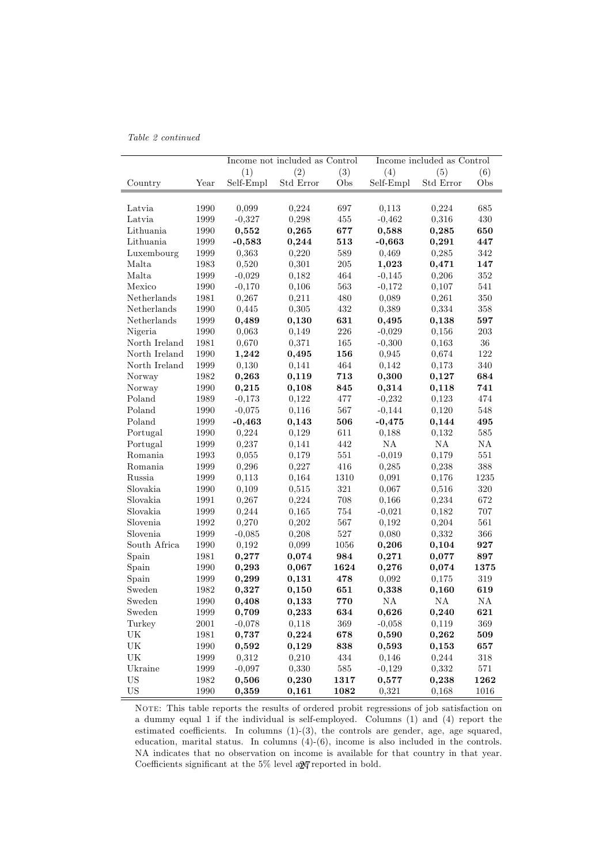|  |  | Table 2 continued |
|--|--|-------------------|
|--|--|-------------------|

|                                   |          | Income not included as Control |           |         | Income included as Control |           |      |
|-----------------------------------|----------|--------------------------------|-----------|---------|----------------------------|-----------|------|
|                                   |          | (1)                            | (2)       | (3)     | (4)                        | (5)       | (6)  |
| Country                           | Year     | Self-Empl                      | Std Error | Obs     | Self-Empl                  | Std Error | Obs  |
|                                   |          |                                |           |         |                            |           |      |
| Latvia                            | 1990     | 0,099                          | 0,224     | 697     | 0,113                      | 0,224     | 685  |
| Latvia                            | 1999     | $-0,327$                       | 0,298     | 455     | $-0,462$                   | 0,316     | 430  |
| Lithuania                         | 1990     | 0,552                          | 0,265     | 677     | 0,588                      | 0,285     | 650  |
| Lithuania                         | 1999     | $-0,583$                       | 0,244     | 513     | $-0,663$                   | 0,291     | 447  |
| Luxembourg                        | 1999     | 0,363                          | 0,220     | 589     | 0,469                      | 0,285     | 342  |
| Malta                             | 1983     | 0,520                          | 0,301     | $\,205$ | 1,023                      | 0,471     | 147  |
| Malta                             | 1999     | $-0,029$                       | 0,182     | 464     | $-0,145$                   | 0,206     | 352  |
| Mexico                            | 1990     | $-0,170$                       | 0,106     | 563     | $-0,172$                   | 0,107     | 541  |
| Netherlands                       | 1981     | 0,267                          | 0,211     | 480     | 0,089                      | 0,261     | 350  |
| Netherlands                       | 1990     | 0,445                          | 0,305     | 432     | 0,389                      | 0,334     | 358  |
| Netherlands                       | 1999     | 0,489                          | 0,130     | 631     | 0,495                      | 0,138     | 597  |
| Nigeria                           | 1990     | 0,063                          | 0,149     | 226     | $-0,029$                   | 0,156     | 203  |
| North Ireland                     | 1981     | 0,670                          | 0,371     | 165     | $-0,300$                   | 0,163     | 36   |
| North Ireland                     | 1990     | 1,242                          | 0,495     | 156     | 0,945                      | 0.674     | 122  |
| North Ireland                     | 1999     | 0,130                          | 0,141     | 464     | 0,142                      | 0,173     | 340  |
| Norway                            | 1982     | 0,263                          | 0,119     | 713     | 0,300                      | 0,127     | 684  |
| Norway                            | 1990     | 0,215                          | 0,108     | 845     | 0,314                      | 0,118     | 741  |
| Poland                            | 1989     | $-0,173$                       | 0,122     | 477     | $-0,232$                   | 0,123     | 474  |
| Poland                            | 1990     | $-0,075$                       | 0,116     | 567     | $-0,144$                   | 0,120     | 548  |
| Poland                            | 1999     | $-0,463$                       | 0,143     | 506     | $-0,475$                   | 0,144     | 495  |
| Portugal                          | 1990     | 0,224                          | 0,129     | 611     | 0,188                      | 0,132     | 585  |
| Portugal                          | 1999     | 0,237                          | 0,141     | 442     | NA                         | NA        | NA   |
| Romania                           | 1993     | 0,055                          | 0,179     | 551     | $-0,019$                   | 0,179     | 551  |
| Romania                           | 1999     | 0,296                          | 0,227     | 416     | 0,285                      | 0,238     | 388  |
| Russia                            | 1999     | 0,113                          | 0,164     | 1310    | 0,091                      | 0,176     | 1235 |
| Slovakia                          | 1990     | 0,109                          | 0,515     | 321     | 0,067                      | 0,516     | 320  |
| Slovakia                          | 1991     | 0,267                          | 0,224     | 708     | 0,166                      | 0,234     | 672  |
| Slovakia                          | 1999     | 0,244                          | 0,165     | 754     | $-0,021$                   | 0,182     | 707  |
| Slovenia                          | 1992     | 0,270                          | 0,202     | 567     | 0,192                      | 0,204     | 561  |
| Slovenia                          | 1999     | $-0,085$                       | 0,208     | 527     | 0,080                      | 0,332     | 366  |
| South Africa                      | 1990     | 0,192                          | 0,099     | 1056    | 0,206                      | 0,104     | 927  |
| Spain                             | 1981     | $_{0,277}$                     | 0,074     | 984     | 0,271                      | 0,077     | 897  |
| Spain                             | 1990     | 0,293                          | 0,067     | 1624    | 0,276                      | 0,074     | 1375 |
| Spain                             | 1999     | 0,299                          | 0,131     | 478     | 0,092                      | 0,175     | 319  |
| Sweden                            | 1982     | 0,327                          | 0,150     | 651     | 0,338                      | 0,160     | 619  |
| Sweden                            | 1990     | 0,408                          | 0,133     | 770     | NA                         | NA        | NA   |
| Sweden                            | 1999     | 0,709                          | 0,233     | 634     | 0,626                      | 0,240     | 621  |
| Turkey                            | $2001\,$ | $-0,078$                       | 0,118     | 369     | $-0,058$                   | 0,119     | 369  |
| UK                                | 1981     | 0,737                          | 0,224     | 678     | 0,590                      | 0,262     | 509  |
| UK                                | 1990     | 0,592                          | 0,129     | 838     | 0,593                      | 0,153     | 657  |
| $\ensuremath{\mathrm{UK}}\xspace$ | 1999     | 0,312                          | 0,210     | 434     | 0,146                      | 0,244     | 318  |
| Ukraine                           | 1999     | $-0,097$                       | 0,330     | $585\,$ | $-0,129$                   | 0,332     | 571  |
| US                                | 1982     | 0,506                          | 0,230     | 1317    | 0,577                      | 0,238     | 1262 |
| <b>US</b>                         | 1990     | 0,359                          | 0,161     | 1082    | 0,321                      | 0,168     | 1016 |

NOTE: This table reports the results of ordered probit regressions of job satisfaction on a dummy equal 1 if the individual is self-employed. Columns (1) and (4) report the estimated coefficients. In columns  $(1)-(3)$ , the controls are gender, age, age squared, education, marital status. In columns (4)-(6), income is also included in the controls. NA indicates that no observation on income is available for that country in that year. Coefficients significant at the  $5\%$  level ap $\gamma$  reported in bold.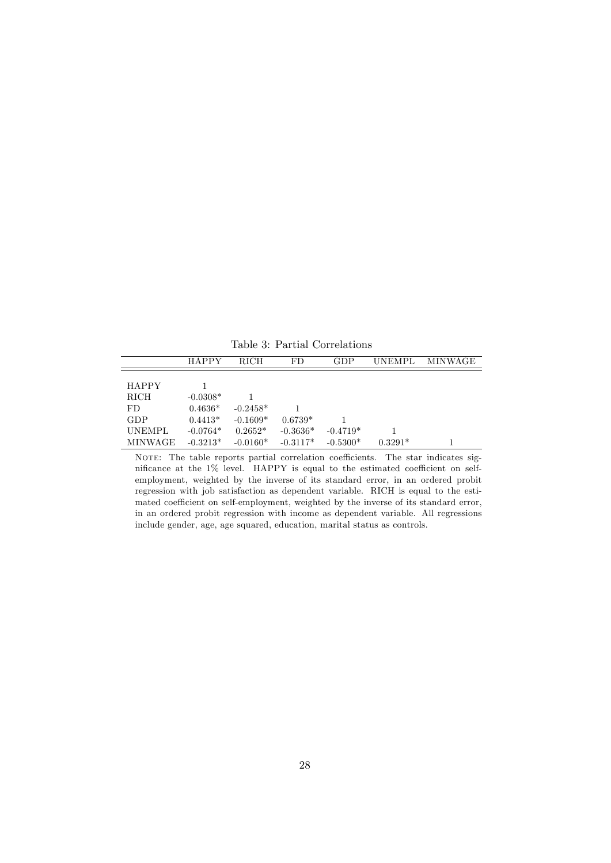HAPPY RICH FD GDP UNEMPL MINWAGE  $\begin{tabular}{lcl} HAPPY & & 1 \\ \hline RICH & & -0.03 \\ \end{tabular}$  $-0.0308*$  1  $\begin{tabular}{lllllll} \text{FD} & 0.4636^* & -0.2458^* & 1 \\ \text{GDP} & 0.4413^* & -0.1609^* & 0.6739^* \end{tabular}$  $\begin{tabular}{lllllll} GDP & 0.4413^* & -0.1609^* & 0.6739^* & 1 \\ UNEMPL & -0.0764^* & 0.2652^* & -0.3636^* & -0.4719^* \end{tabular}$ UNEMPL -0.0764\* 0.2652\* -0.3636\* -0.4719\* 1  $\hbox{MINWAGE} \quad \text{-} 0.3213^* \quad \text{-} 0.0160^* \quad \text{-} 0.3117^* \quad \text{-} 0.5300^* \qquad \text{0.3291}^* \qquad \qquad 1$ 

Table 3: Partial Correlations

NOTE: The table reports partial correlation coefficients. The star indicates significance at the  $1\%$  level. HAPPY is equal to the estimated coefficient on selfemployment, weighted by the inverse of its standard error, in an ordered probit regression with job satisfaction as dependent variable. RICH is equal to the estimated coefficient on self-employment, weighted by the inverse of its standard error, in an ordered probit regression with income as dependent variable. All regressions include gender, age, age squared, education, marital status as controls.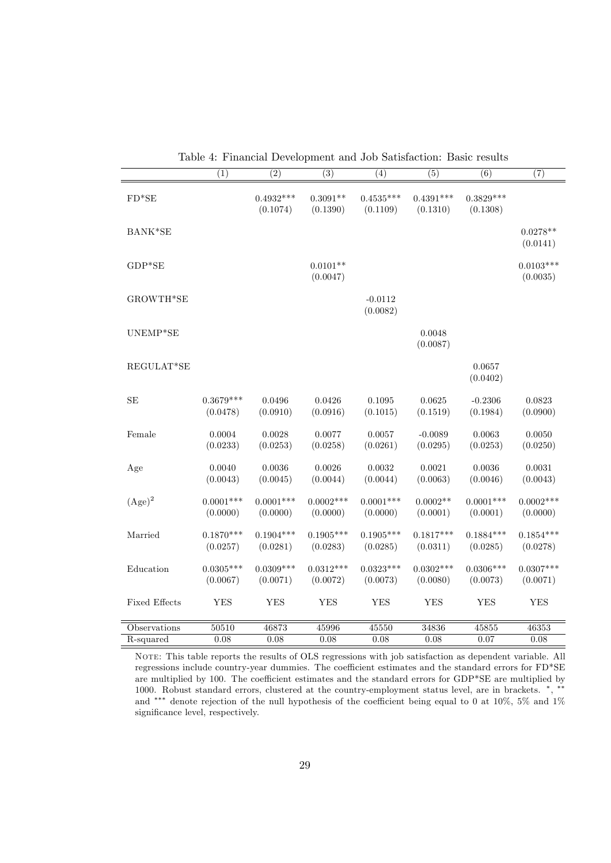|                      | $\overline{(1)}$        | $\overline{(2)}$        | $\overline{(3)}$        | (4)                     | $\overline{(5)}$        | $\overline{(6)}$        | $\overline{(7)}$        |
|----------------------|-------------------------|-------------------------|-------------------------|-------------------------|-------------------------|-------------------------|-------------------------|
| $FD*SE$              |                         | $0.4932***$<br>(0.1074) | $0.3091**$<br>(0.1390)  | $0.4535***$<br>(0.1109) | $0.4391***$<br>(0.1310) | $0.3829***$<br>(0.1308) |                         |
| BANK*SE              |                         |                         |                         |                         |                         |                         | $0.0278**$<br>(0.0141)  |
| $GDP*SE$             |                         |                         | $0.0101**$<br>(0.0047)  |                         |                         |                         | $0.0103***$<br>(0.0035) |
| GROWTH*SE            |                         |                         |                         | $-0.0112$<br>(0.0082)   |                         |                         |                         |
| UNEMP*SE             |                         |                         |                         |                         | 0.0048<br>(0.0087)      |                         |                         |
| REGULAT*SE           |                         |                         |                         |                         |                         | 0.0657<br>(0.0402)      |                         |
| $\rm SE$             | $0.3679***$<br>(0.0478) | 0.0496<br>(0.0910)      | 0.0426<br>(0.0916)      | 0.1095<br>(0.1015)      | 0.0625<br>(0.1519)      | $-0.2306$<br>(0.1984)   | 0.0823<br>(0.0900)      |
| Female               | 0.0004<br>(0.0233)      | 0.0028<br>(0.0253)      | 0.0077<br>(0.0258)      | 0.0057<br>(0.0261)      | $-0.0089$<br>(0.0295)   | 0.0063<br>(0.0253)      | 0.0050<br>(0.0250)      |
| Age                  | 0.0040<br>(0.0043)      | 0.0036<br>(0.0045)      | 0.0026<br>(0.0044)      | 0.0032<br>(0.0044)      | 0.0021<br>(0.0063)      | 0.0036<br>(0.0046)      | 0.0031<br>(0.0043)      |
| $(Age)^2$            | $0.0001***$<br>(0.0000) | $0.0001***$<br>(0.0000) | $0.0002***$<br>(0.0000) | $0.0001***$<br>(0.0000) | $0.0002**$<br>(0.0001)  | $0.0001***$<br>(0.0001) | $0.0002***$<br>(0.0000) |
| Married              | $0.1870***$<br>(0.0257) | $0.1904***$<br>(0.0281) | $0.1905***$<br>(0.0283) | $0.1905***$<br>(0.0285) | $0.1817***$<br>(0.0311) | $0.1884***$<br>(0.0285) | $0.1854***$<br>(0.0278) |
| Education            | $0.0305***$<br>(0.0067) | $0.0309***$<br>(0.0071) | $0.0312***$<br>(0.0072) | $0.0323***$<br>(0.0073) | $0.0302***$<br>(0.0080) | $0.0306***$<br>(0.0073) | $0.0307***$<br>(0.0071) |
| <b>Fixed Effects</b> | <b>YES</b>              | <b>YES</b>              | <b>YES</b>              | <b>YES</b>              | YES                     | <b>YES</b>              | YES                     |
| Observations         | 50510                   | 46873                   | 45996                   | 45550                   | 34836                   | 45855                   | 46353                   |
| R-squared            | 0.08                    | 0.08                    | 0.08                    | 0.08                    | 0.08                    | 0.07                    | 0.08                    |

Table 4: Financial Development and Job Satisfaction: Basic results

NOTE: This table reports the results of OLS regressions with job satisfaction as dependent variable. All regressions include country-year dummies. The coefficient estimates and the standard errors for FD\*SE are multiplied by 100. The coefficient estimates and the standard errors for  $GDP*SE$  are multiplied by 1000. Robust standard errors, clustered at the country-employment status level, are in brackets. \*, \*\* and \*\*\* denote rejection of the null hypothesis of the coefficient being equal to 0 at 10%, 5% and 1% significance level, respectively.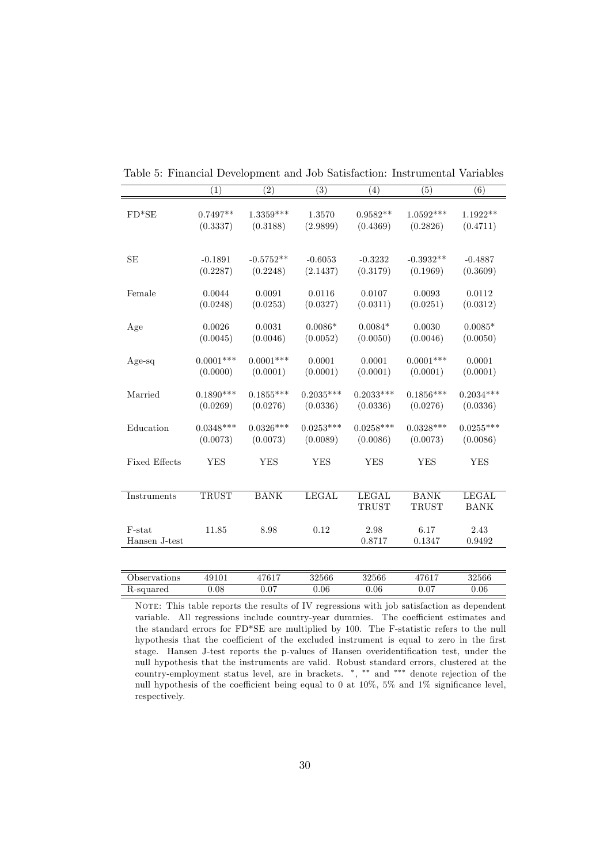|                      | $\overline{(1)}$ | $\overline{(2)}$ | $\overline{(3)}$ | (4)          | $\overline{(5)}$ | $\overline{(6)}$ |
|----------------------|------------------|------------------|------------------|--------------|------------------|------------------|
|                      |                  |                  |                  |              |                  |                  |
|                      |                  |                  |                  |              |                  |                  |
| $FD*SE$              | $0.7497**$       | $1.3359***$      | 1.3570           | $0.9582**$   | $1.0592***$      | $1.1922**$       |
|                      | (0.3337)         | (0.3188)         | (2.9899)         | (0.4369)     | (0.2826)         | (0.4711)         |
|                      |                  |                  |                  |              |                  |                  |
|                      |                  |                  |                  |              |                  |                  |
| SE                   | $-0.1891$        | $-0.5752**$      | $-0.6053$        | $-0.3232$    | $-0.3932**$      | $-0.4887$        |
|                      | (0.2287)         | (0.2248)         | (2.1437)         | (0.3179)     | (0.1969)         | (0.3609)         |
|                      |                  |                  |                  |              |                  |                  |
| Female               | 0.0044           | 0.0091           | 0.0116           | 0.0107       | 0.0093           | 0.0112           |
|                      | (0.0248)         | (0.0253)         | (0.0327)         | (0.0311)     | (0.0251)         | (0.0312)         |
|                      |                  |                  |                  |              |                  |                  |
| Age                  | 0.0026           | 0.0031           | $0.0086*$        | $0.0084*$    | 0.0030           | $0.0085*$        |
|                      | (0.0045)         | (0.0046)         | (0.0052)         | (0.0050)     | (0.0046)         | (0.0050)         |
|                      |                  |                  |                  |              |                  |                  |
| $Age-sq$             | $0.0001***$      | $0.0001***$      | 0.0001           | 0.0001       | $0.0001***$      | 0.0001           |
|                      | (0.0000)         | (0.0001)         | (0.0001)         | (0.0001)     | (0.0001)         | (0.0001)         |
|                      |                  |                  |                  |              |                  |                  |
| Married              | $0.1890***$      | $0.1855***$      | $0.2035***$      | $0.2033***$  | $0.1856***$      | $0.2034***$      |
|                      | (0.0269)         | (0.0276)         | (0.0336)         | (0.0336)     | (0.0276)         | (0.0336)         |
|                      |                  |                  |                  |              |                  |                  |
| Education            | $0.0348***$      | $0.0326***$      | $0.0253***$      | $0.0258***$  | $0.0328***$      | $0.0255***$      |
|                      | (0.0073)         | (0.0073)         | (0.0089)         | (0.0086)     | (0.0073)         | (0.0086)         |
|                      |                  |                  |                  |              |                  |                  |
| <b>Fixed Effects</b> | <b>YES</b>       | <b>YES</b>       | <b>YES</b>       | <b>YES</b>   | <b>YES</b>       | <b>YES</b>       |
|                      |                  |                  |                  |              |                  |                  |
|                      |                  |                  |                  |              |                  |                  |
|                      |                  |                  |                  |              |                  |                  |
| Instruments          | <b>TRUST</b>     | <b>BANK</b>      | <b>LEGAL</b>     | LEGAL        | <b>BANK</b>      | <b>LEGAL</b>     |
|                      |                  |                  |                  | <b>TRUST</b> | <b>TRUST</b>     | <b>BANK</b>      |
|                      |                  |                  |                  |              |                  |                  |
| F-stat               | 11.85            | 8.98             | 0.12             | 2.98         | 6.17             | 2.43             |
| Hansen J-test        |                  |                  |                  | 0.8717       | 0.1347           | 0.9492           |
|                      |                  |                  |                  |              |                  |                  |
|                      |                  |                  |                  |              |                  |                  |
| Observations         | 49101            | 47617            | 32566            | 32566        | 47617            | 32566            |
| R-squared            | 0.08             | 0.07             | 0.06             | 0.06         | 0.07             | 0.06             |

Table 5: Financial Development and Job Satisfaction: Instrumental Variables

NOTE: This table reports the results of IV regressions with job satisfaction as dependent variable. All regressions include country-year dummies. The coefficient estimates and the standard errors for FD\*SE are multiplied by 100. The F-statistic refers to the null hypothesis that the coefficient of the excluded instrument is equal to zero in the first stage. Hansen J-test reports the p-values of Hansen overidentification test, under the null hypothesis that the instruments are valid. Robust standard errors, clustered at the country-employment status level, are in brackets.  $\ast$ ,  $\ast \ast$  and  $\ast \ast \ast$  denote rejection of the null hypothesis of the coefficient being equal to 0 at 10%, 5% and 1% significance level, respectively.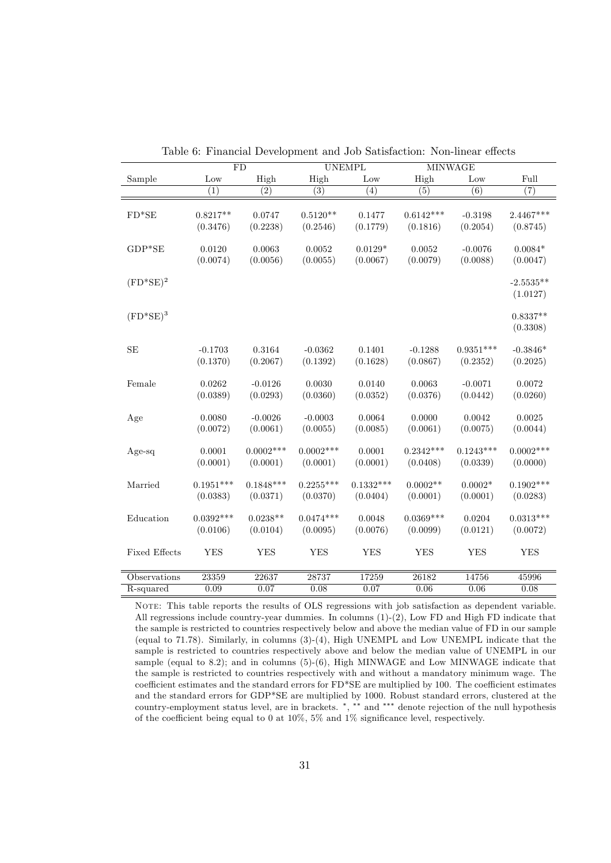|                      | FD          |             |             | <b>UNEMPL</b> |             | <b>MINWAGE</b> |             |
|----------------------|-------------|-------------|-------------|---------------|-------------|----------------|-------------|
| Sample               | Low         | High        | High        | Low           | High        | Low            | Full        |
|                      | (1)         | (2)         | (3)         | (4)           | (5)         | (6)            | (7)         |
|                      |             |             |             |               |             |                |             |
| $FD*SE$              | $0.8217**$  | 0.0747      | $0.5120**$  | 0.1477        | $0.6142***$ | $-0.3198$      | 2.4467***   |
|                      | (0.3476)    | (0.2238)    | (0.2546)    | (0.1779)      | (0.1816)    | (0.2054)       | (0.8745)    |
|                      |             |             |             |               |             |                |             |
| $GDP*SE$             | 0.0120      | 0.0063      | 0.0052      | $0.0129*$     | 0.0052      | $-0.0076$      | $0.0084*$   |
|                      | (0.0074)    | (0.0056)    | (0.0055)    | (0.0067)      | (0.0079)    | (0.0088)       | (0.0047)    |
|                      |             |             |             |               |             |                |             |
| $(FD^*SE)^2$         |             |             |             |               |             |                | $-2.5535**$ |
|                      |             |             |             |               |             |                | (1.0127)    |
| $(FD^*SE)^3$         |             |             |             |               |             |                | $0.8337**$  |
|                      |             |             |             |               |             |                | (0.3308)    |
|                      |             |             |             |               |             |                |             |
| SE                   | $-0.1703$   | 0.3164      | $-0.0362$   | 0.1401        | $-0.1288$   | $0.9351***$    | $-0.3846*$  |
|                      | (0.1370)    | (0.2067)    | (0.1392)    | (0.1628)      | (0.0867)    | (0.2352)       | (0.2025)    |
|                      |             |             |             |               |             |                |             |
| Female               | 0.0262      | $-0.0126$   | 0.0030      | 0.0140        | 0.0063      | $-0.0071$      | 0.0072      |
|                      | (0.0389)    | (0.0293)    | (0.0360)    | (0.0352)      | (0.0376)    | (0.0442)       | (0.0260)    |
|                      |             |             |             |               |             |                |             |
| Age                  | 0.0080      | $-0.0026$   | $-0.0003$   | 0.0064        | 0.0000      | 0.0042         | 0.0025      |
|                      | (0.0072)    | (0.0061)    | (0.0055)    | (0.0085)      | (0.0061)    | (0.0075)       | (0.0044)    |
|                      |             |             |             |               |             |                |             |
| Age-sq               | 0.0001      | $0.0002***$ | $0.0002***$ | 0.0001        | $0.2342***$ | $0.1243***$    | $0.0002***$ |
|                      | (0.0001)    | (0.0001)    | (0.0001)    | (0.0001)      | (0.0408)    | (0.0339)       | (0.0000)    |
| Married              | $0.1951***$ | $0.1848***$ | $0.2255***$ | $0.1332***$   | $0.0002**$  | $0.0002*$      | $0.1902***$ |
|                      | (0.0383)    | (0.0371)    | (0.0370)    | (0.0404)      | (0.0001)    | (0.0001)       | (0.0283)    |
|                      |             |             |             |               |             |                |             |
| Education            | $0.0392***$ | $0.0238**$  | $0.0474***$ | 0.0048        | $0.0369***$ | 0.0204         | $0.0313***$ |
|                      | (0.0106)    | (0.0104)    | (0.0095)    | (0.0076)      | (0.0099)    | (0.0121)       | (0.0072)    |
|                      |             |             |             |               |             |                |             |
| <b>Fixed Effects</b> | <b>YES</b>  | YES         | <b>YES</b>  | ${\rm YES}$   | <b>YES</b>  | ${\rm YES}$    | <b>YES</b>  |
|                      |             |             |             |               |             |                |             |
| Observations         | 23359       | 22637       | 28737       | 17259         | 26182       | 14756          | 45996       |
| R-squared            | 0.09        | 0.07        | 0.08        | 0.07          | 0.06        | $0.06\,$       | 0.08        |

Table 6: Financial Development and Job Satisfaction: Non-linear effects

NOTE: This table reports the results of OLS regressions with job satisfaction as dependent variable. All regressions include country-year dummies. In columns (1)-(2), Low FD and High FD indicate that the sample is restricted to countries respectively below and above the median value of FD in our sample (equal to 71.78). Similarly, in columns (3)-(4), High UNEMPL and Low UNEMPL indicate that the sample is restricted to countries respectively above and below the median value of UNEMPL in our sample (equal to 8.2); and in columns  $(5)-(6)$ , High MINWAGE and Low MINWAGE indicate that the sample is restricted to countries respectively with and without a mandatory minimum wage. The coefficient estimates and the standard errors for FD\*SE are multiplied by 100. The coefficient estimates and the standard errors for GDP\*SE are multiplied by 1000. Robust standard errors, clustered at the country-employment status level, are in brackets. \*, \*\* and \*\*\* denote rejection of the null hypothesis of the coefficient being equal to 0 at 10%, 5% and 1% significance level, respectively.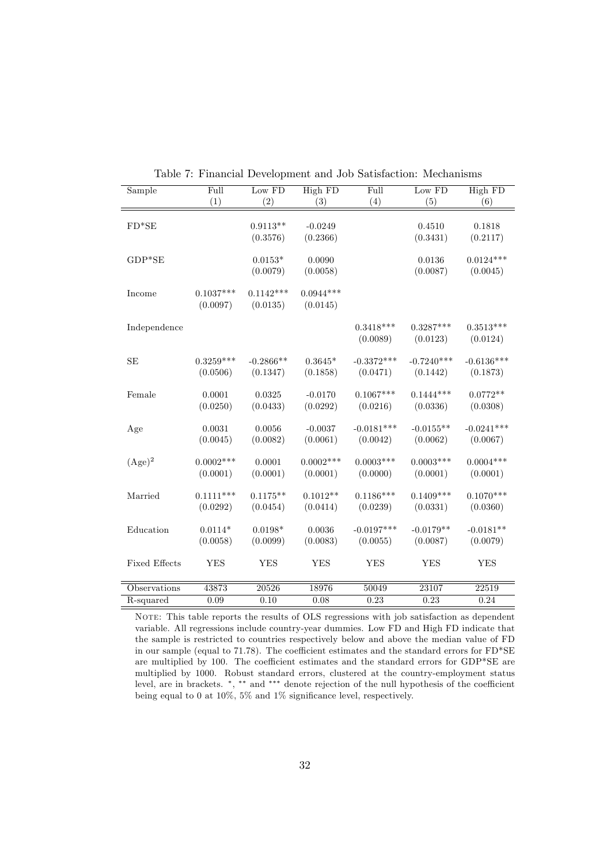| Sample               | $\overline{\mathrm{Full}}$ | Low FD                  | High FD                 | $\overline{\mathrm{Full}}$ | Low FD                   | High FD                  |
|----------------------|----------------------------|-------------------------|-------------------------|----------------------------|--------------------------|--------------------------|
|                      | (1)                        | (2)                     | (3)                     | (4)                        | (5)                      | (6)                      |
| $FD*SE$              |                            | $0.9113**$<br>(0.3576)  | $-0.0249$<br>(0.2366)   |                            | 0.4510<br>(0.3431)       | 0.1818<br>(0.2117)       |
| $GDP*SE$             |                            | $0.0153*$<br>(0.0079)   | 0.0090<br>(0.0058)      |                            | 0.0136<br>(0.0087)       | $0.0124***$<br>(0.0045)  |
| Income               | $0.1037***$<br>(0.0097)    | $0.1142***$<br>(0.0135) | $0.0944***$<br>(0.0145) |                            |                          |                          |
| Independence         |                            |                         |                         | $0.3418***$<br>(0.0089)    | $0.3287***$<br>(0.0123)  | $0.3513***$<br>(0.0124)  |
| SE                   | $0.3259***$<br>(0.0506)    | $-0.2866**$<br>(0.1347) | $0.3645*$<br>(0.1858)   | $-0.3372***$<br>(0.0471)   | $-0.7240***$<br>(0.1442) | $-0.6136***$<br>(0.1873) |
| Female               | 0.0001<br>(0.0250)         | 0.0325<br>(0.0433)      | $-0.0170$<br>(0.0292)   | $0.1067***$<br>(0.0216)    | $0.1444***$<br>(0.0336)  | $0.0772**$<br>(0.0308)   |
| Age                  | 0.0031<br>(0.0045)         | 0.0056<br>(0.0082)      | $-0.0037$<br>(0.0061)   | $-0.0181***$<br>(0.0042)   | $-0.0155**$<br>(0.0062)  | $-0.0241***$<br>(0.0067) |
| $(Age)^2$            | $0.0002***$<br>(0.0001)    | 0.0001<br>(0.0001)      | $0.0002***$<br>(0.0001) | $0.0003$ ***<br>(0.0000)   | $0.0003***$<br>(0.0001)  | $0.0004***$<br>(0.0001)  |
| Married              | $0.1111***$<br>(0.0292)    | $0.1175**$<br>(0.0454)  | $0.1012**$<br>(0.0414)  | $0.1186***$<br>(0.0239)    | $0.1409***$<br>(0.0331)  | $0.1070***$<br>(0.0360)  |
| Education            | $0.0114*$<br>(0.0058)      | $0.0198*$<br>(0.0099)   | 0.0036<br>(0.0083)      | $-0.0197***$<br>(0.0055)   | $-0.0179**$<br>(0.0087)  | $-0.0181**$<br>(0.0079)  |
| <b>Fixed Effects</b> | <b>YES</b>                 | <b>YES</b>              | <b>YES</b>              | <b>YES</b>                 | YES                      | <b>YES</b>               |
| Observations         | 43873                      | 20526                   | 18976                   | 50049                      | 23107                    | 22519                    |
| R-squared            | 0.09                       | 0.10                    | 0.08                    | 0.23                       | 0.23                     | 0.24                     |

Table 7: Financial Development and Job Satisfaction: Mechanisms

NOTE: This table reports the results of OLS regressions with job satisfaction as dependent variable. All regressions include country-year dummies. Low FD and High FD indicate that the sample is restricted to countries respectively below and above the median value of FD in our sample (equal to 71.78). The coefficient estimates and the standard errors for  $FD*SE$ are multiplied by 100. The coefficient estimates and the standard errors for  $GDP*SE$  are multiplied by 1000. Robust standard errors, clustered at the country-employment status level, are in brackets.  $\alpha$ ,  $\alpha$ ,  $\alpha$ ,  $\alpha$  and  $\alpha$ ,  $\alpha$  denote rejection of the null hypothesis of the coefficient being equal to 0 at 10%, 5% and 1% significance level, respectively.